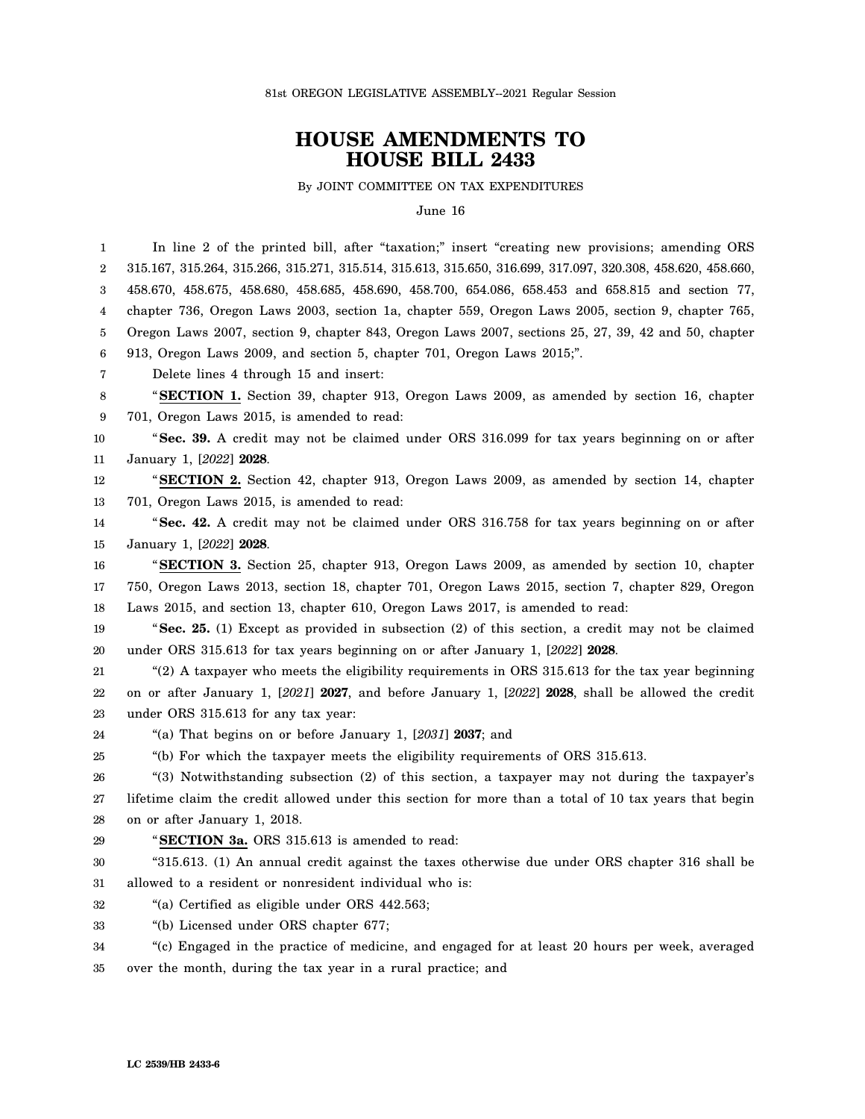81st OREGON LEGISLATIVE ASSEMBLY--2021 Regular Session

## **HOUSE AMENDMENTS TO HOUSE BILL 2433**

By JOINT COMMITTEE ON TAX EXPENDITURES

June 16

1 2 3 4 5 6 7 8 9 10 11 12 13 14 15 16 17 18 19 20 21 22 23 24 25 26 27 28 29 30 31 32 33 34 35 In line 2 of the printed bill, after "taxation;" insert "creating new provisions; amending ORS 315.167, 315.264, 315.266, 315.271, 315.514, 315.613, 315.650, 316.699, 317.097, 320.308, 458.620, 458.660, 458.670, 458.675, 458.680, 458.685, 458.690, 458.700, 654.086, 658.453 and 658.815 and section 77, chapter 736, Oregon Laws 2003, section 1a, chapter 559, Oregon Laws 2005, section 9, chapter 765, Oregon Laws 2007, section 9, chapter 843, Oregon Laws 2007, sections 25, 27, 39, 42 and 50, chapter 913, Oregon Laws 2009, and section 5, chapter 701, Oregon Laws 2015;". Delete lines 4 through 15 and insert: "**SECTION 1.** Section 39, chapter 913, Oregon Laws 2009, as amended by section 16, chapter 701, Oregon Laws 2015, is amended to read: "**Sec. 39.** A credit may not be claimed under ORS 316.099 for tax years beginning on or after January 1, [*2022*] **2028**. "**SECTION 2.** Section 42, chapter 913, Oregon Laws 2009, as amended by section 14, chapter 701, Oregon Laws 2015, is amended to read: "**Sec. 42.** A credit may not be claimed under ORS 316.758 for tax years beginning on or after January 1, [*2022*] **2028**. "**SECTION 3.** Section 25, chapter 913, Oregon Laws 2009, as amended by section 10, chapter 750, Oregon Laws 2013, section 18, chapter 701, Oregon Laws 2015, section 7, chapter 829, Oregon Laws 2015, and section 13, chapter 610, Oregon Laws 2017, is amended to read: "**Sec. 25.** (1) Except as provided in subsection (2) of this section, a credit may not be claimed under ORS 315.613 for tax years beginning on or after January 1, [*2022*] **2028**. "(2) A taxpayer who meets the eligibility requirements in ORS 315.613 for the tax year beginning on or after January 1, [*2021*] **2027**, and before January 1, [*2022*] **2028**, shall be allowed the credit under ORS 315.613 for any tax year: "(a) That begins on or before January 1, [*2031*] **2037**; and "(b) For which the taxpayer meets the eligibility requirements of ORS 315.613. "(3) Notwithstanding subsection (2) of this section, a taxpayer may not during the taxpayer's lifetime claim the credit allowed under this section for more than a total of 10 tax years that begin on or after January 1, 2018. "**SECTION 3a.** ORS 315.613 is amended to read: "315.613. (1) An annual credit against the taxes otherwise due under ORS chapter 316 shall be allowed to a resident or nonresident individual who is: "(a) Certified as eligible under ORS 442.563; "(b) Licensed under ORS chapter 677; "(c) Engaged in the practice of medicine, and engaged for at least 20 hours per week, averaged over the month, during the tax year in a rural practice; and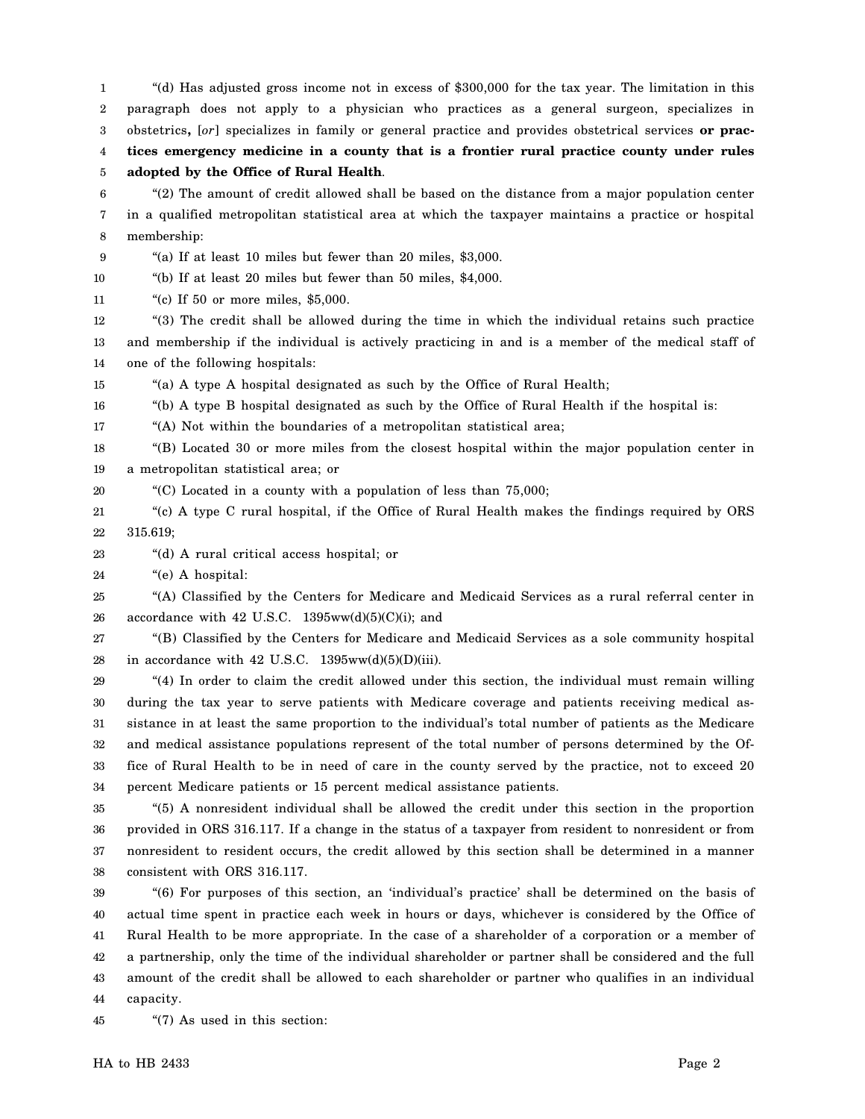1 2 3 4 "(d) Has adjusted gross income not in excess of \$300,000 for the tax year. The limitation in this paragraph does not apply to a physician who practices as a general surgeon, specializes in obstetrics**,** [*or*] specializes in family or general practice and provides obstetrical services **or practices emergency medicine in a county that is a frontier rural practice county under rules**

5 **adopted by the Office of Rural Health**.

6 7 8 "(2) The amount of credit allowed shall be based on the distance from a major population center in a qualified metropolitan statistical area at which the taxpayer maintains a practice or hospital membership:

9 "(a) If at least 10 miles but fewer than 20 miles, \$3,000.

10 "(b) If at least 20 miles but fewer than 50 miles, \$4,000.

11 "(c) If 50 or more miles, \$5,000.

12 13 14 "(3) The credit shall be allowed during the time in which the individual retains such practice and membership if the individual is actively practicing in and is a member of the medical staff of one of the following hospitals:

15 "(a) A type A hospital designated as such by the Office of Rural Health;

16 "(b) A type B hospital designated as such by the Office of Rural Health if the hospital is:

17 "(A) Not within the boundaries of a metropolitan statistical area;

18 19 "(B) Located 30 or more miles from the closest hospital within the major population center in a metropolitan statistical area; or

20 "(C) Located in a county with a population of less than 75,000;

21 22 "(c) A type C rural hospital, if the Office of Rural Health makes the findings required by ORS 315.619;

23 "(d) A rural critical access hospital; or

24 "(e) A hospital:

25 26 "(A) Classified by the Centers for Medicare and Medicaid Services as a rural referral center in accordance with 42 U.S.C.  $1395ww(d)(5)(C)(i)$ ; and

27 28 "(B) Classified by the Centers for Medicare and Medicaid Services as a sole community hospital in accordance with  $42$  U.S.C.  $1395ww(d)(5)(D)(iii)$ .

29 30 31 32 33 34 "(4) In order to claim the credit allowed under this section, the individual must remain willing during the tax year to serve patients with Medicare coverage and patients receiving medical assistance in at least the same proportion to the individual's total number of patients as the Medicare and medical assistance populations represent of the total number of persons determined by the Office of Rural Health to be in need of care in the county served by the practice, not to exceed 20 percent Medicare patients or 15 percent medical assistance patients.

35 36 37 38 "(5) A nonresident individual shall be allowed the credit under this section in the proportion provided in ORS 316.117. If a change in the status of a taxpayer from resident to nonresident or from nonresident to resident occurs, the credit allowed by this section shall be determined in a manner consistent with ORS 316.117.

39 40 41 42 43 44 "(6) For purposes of this section, an 'individual's practice' shall be determined on the basis of actual time spent in practice each week in hours or days, whichever is considered by the Office of Rural Health to be more appropriate. In the case of a shareholder of a corporation or a member of a partnership, only the time of the individual shareholder or partner shall be considered and the full amount of the credit shall be allowed to each shareholder or partner who qualifies in an individual capacity.

45 "(7) As used in this section: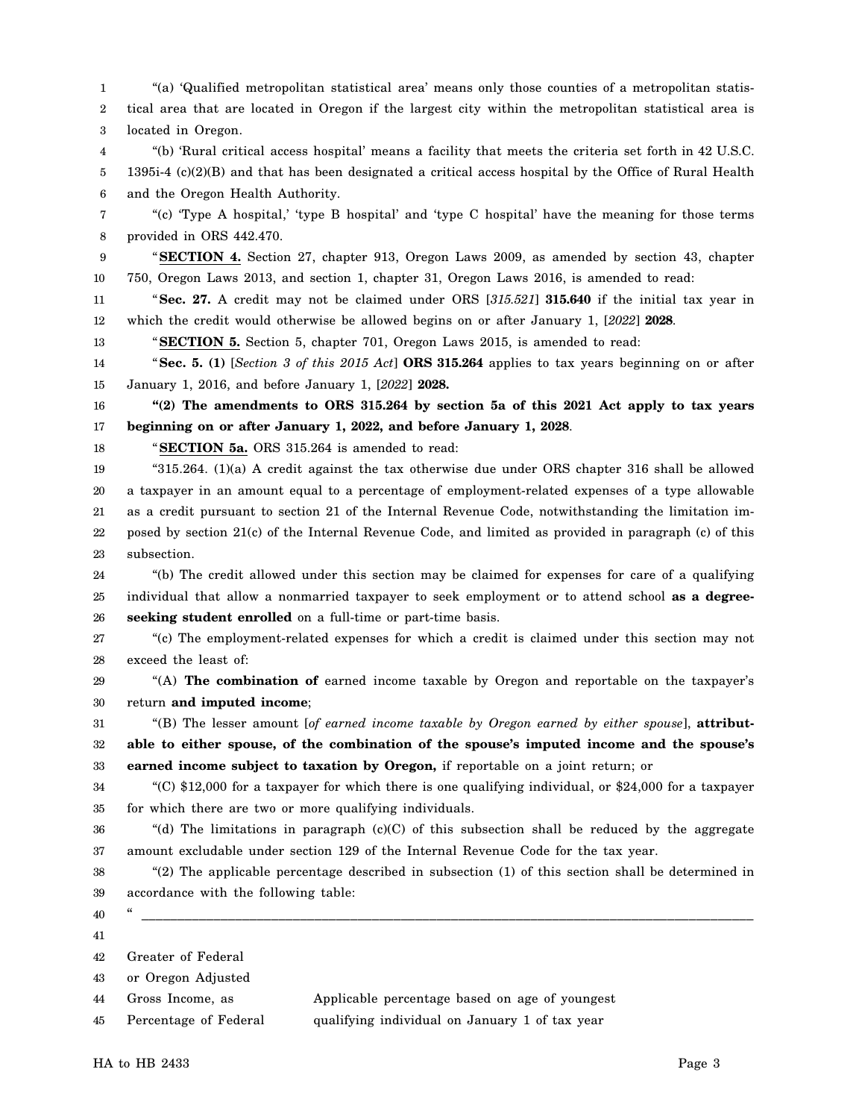1 2 3 4 5 6 7 8 9 10 11 12 13 14 15 16 17 18 19 20 21 22 23 24 25 26 27 28 29 30 31 32 33 34 35 36 37 38 39 40 41 42 43 44 45 "(a) 'Qualified metropolitan statistical area' means only those counties of a metropolitan statistical area that are located in Oregon if the largest city within the metropolitan statistical area is located in Oregon. "(b) 'Rural critical access hospital' means a facility that meets the criteria set forth in 42 U.S.C. 1395i-4 (c)(2)(B) and that has been designated a critical access hospital by the Office of Rural Health and the Oregon Health Authority. "(c) 'Type A hospital,' 'type B hospital' and 'type C hospital' have the meaning for those terms provided in ORS 442.470. "**SECTION 4.** Section 27, chapter 913, Oregon Laws 2009, as amended by section 43, chapter 750, Oregon Laws 2013, and section 1, chapter 31, Oregon Laws 2016, is amended to read: "**Sec. 27.** A credit may not be claimed under ORS [*315.521*] **315.640** if the initial tax year in which the credit would otherwise be allowed begins on or after January 1, [*2022*] **2028**. "**SECTION 5.** Section 5, chapter 701, Oregon Laws 2015, is amended to read: "**Sec. 5. (1)** [*Section 3 of this 2015 Act*] **ORS 315.264** applies to tax years beginning on or after January 1, 2016, and before January 1, [*2022*] **2028. "(2) The amendments to ORS 315.264 by section 5a of this 2021 Act apply to tax years beginning on or after January 1, 2022, and before January 1, 2028**. "**SECTION 5a.** ORS 315.264 is amended to read: "315.264.  $(1)(a)$  A credit against the tax otherwise due under ORS chapter 316 shall be allowed a taxpayer in an amount equal to a percentage of employment-related expenses of a type allowable as a credit pursuant to section 21 of the Internal Revenue Code, notwithstanding the limitation imposed by section 21(c) of the Internal Revenue Code, and limited as provided in paragraph (c) of this subsection. "(b) The credit allowed under this section may be claimed for expenses for care of a qualifying individual that allow a nonmarried taxpayer to seek employment or to attend school **as a degreeseeking student enrolled** on a full-time or part-time basis. "(c) The employment-related expenses for which a credit is claimed under this section may not exceed the least of: "(A) **The combination of** earned income taxable by Oregon and reportable on the taxpayer's return **and imputed income**; "(B) The lesser amount [*of earned income taxable by Oregon earned by either spouse*], **attributable to either spouse, of the combination of the spouse's imputed income and the spouse's earned income subject to taxation by Oregon,** if reportable on a joint return; or "(C) \$12,000 for a taxpayer for which there is one qualifying individual, or \$24,000 for a taxpayer for which there are two or more qualifying individuals. "(d) The limitations in paragraph (c)(C) of this subsection shall be reduced by the aggregate amount excludable under section 129 of the Internal Revenue Code for the tax year. "(2) The applicable percentage described in subsection (1) of this section shall be determined in accordance with the following table: " \_\_\_\_\_\_\_\_\_\_\_\_\_\_\_\_\_\_\_\_\_\_\_\_\_\_\_\_\_\_\_\_\_\_\_\_\_\_\_\_\_\_\_\_\_\_\_\_\_\_\_\_\_\_\_\_\_\_\_\_\_\_\_\_\_\_\_\_\_\_\_\_\_\_\_\_\_\_\_\_\_\_\_\_\_ Greater of Federal or Oregon Adjusted Gross Income, as Applicable percentage based on age of youngest Percentage of Federal qualifying individual on January 1 of tax year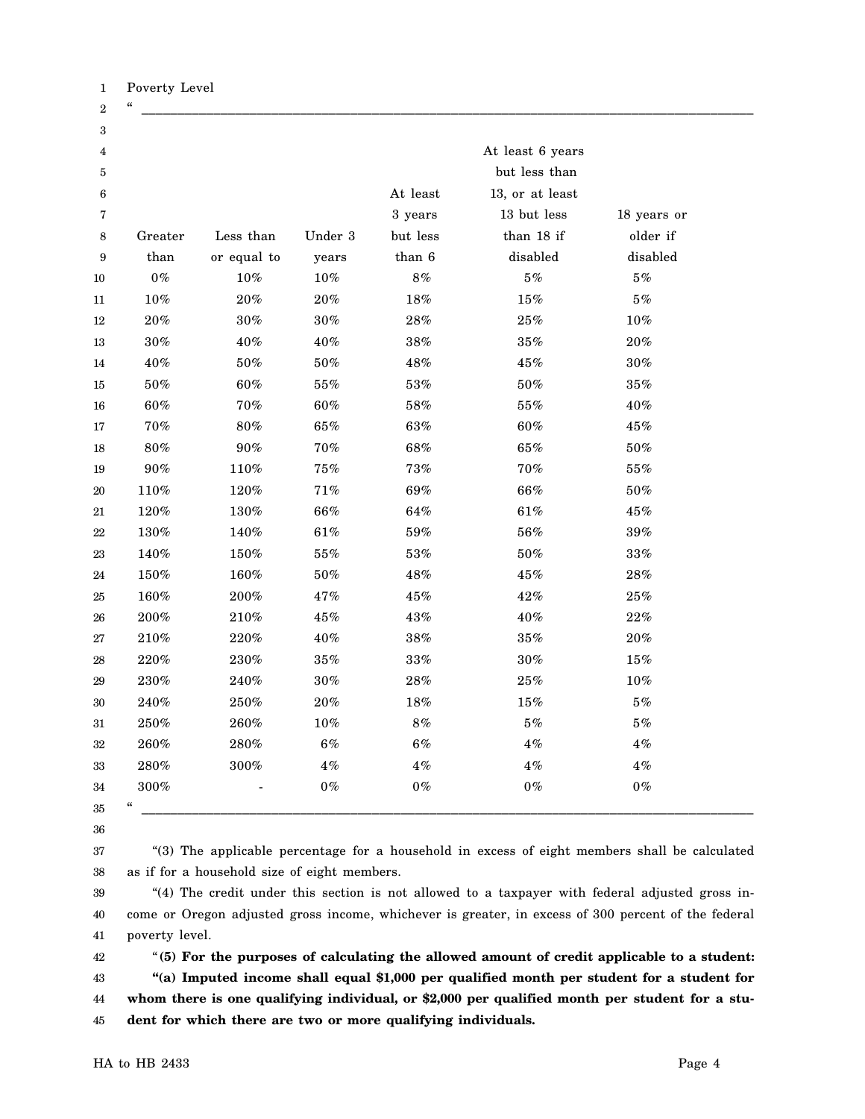| 3                       |                                        |             |         |          |                 |             |  |
|-------------------------|----------------------------------------|-------------|---------|----------|-----------------|-------------|--|
| $\overline{\mathbf{4}}$ | At least 6 years                       |             |         |          |                 |             |  |
| 5                       | but less than                          |             |         |          |                 |             |  |
| 6                       |                                        |             |         | At least | 13, or at least |             |  |
| 7                       |                                        |             |         | 3 years  | 13 but less     | 18 years or |  |
| 8                       | Greater                                | Less than   | Under 3 | but less | than 18 if      | older if    |  |
| $\boldsymbol{9}$        | than                                   | or equal to | years   | than 6   | disabled        | disabled    |  |
| 10                      | $0\%$                                  | $10\%$      | $10\%$  | $8\%$    | $5\,\%$         | $5\,\%$     |  |
| $11\,$                  | $10\%$                                 | $20\%$      | $20\%$  | $18\%$   | $15\%$          | $5\,\%$     |  |
| 12                      | $20\%$                                 | $30\%$      | $30\%$  | $28\%$   | $25\%$          | $10\%$      |  |
| 13                      | $30\%$                                 | $40\%$      | $40\%$  | $38\%$   | $35\%$          | $20\%$      |  |
| 14                      | $40\%$                                 | $50\%$      | $50\%$  | 48%      | $45\%$          | $30\%$      |  |
| $15\,$                  | $50\%$                                 | 60%         | $55\%$  | $53\%$   | $50\%$          | $35\%$      |  |
| 16                      | $60\%$                                 | 70%         | $60\%$  | $58\%$   | $55\%$          | 40%         |  |
| 17                      | $70\%$                                 | $80\%$      | $65\%$  | $63\%$   | $60\%$          | $45\%$      |  |
| 18                      | $80\%$                                 | $90\%$      | $70\%$  | $68\%$   | $65\%$          | $50\%$      |  |
| 19                      | $90\%$                                 | $110\%$     | $75\%$  | $73\%$   | $70\%$          | $55\%$      |  |
| 20                      | 110%                                   | $120\%$     | $71\%$  | 69%      | $66\%$          | $50\%$      |  |
| 21                      | $120\%$                                | $130\%$     | $66\%$  | $64\%$   | $61\%$          | $45\%$      |  |
| 22                      | $130\%$                                | 140%        | $61\%$  | 59%      | $56\%$          | $39\%$      |  |
| 23                      | 140%                                   | 150%        | $55\%$  | $53\%$   | $50\%$          | $33\%$      |  |
| 24                      | 150%                                   | 160%        | $50\%$  | 48%      | $45\%$          | $28\%$      |  |
| 25                      | 160%                                   | $200\%$     | 47%     | $45\%$   | $42\%$          | $25\%$      |  |
| 26                      | $200\%$                                | $210\%$     | $45\%$  | $43\%$   | $40\%$          | $22\%$      |  |
| 27                      | $210\%$                                | 220%        | $40\%$  | $38\%$   | $35\%$          | $20\%$      |  |
| 28                      | $220\%$                                | $230\%$     | $35\%$  | $33\%$   | $30\%$          | $15\%$      |  |
| 29                      | $230\%$                                | 240%        | $30\%$  | $28\%$   | $25\%$          | $10\%$      |  |
| 30                      | $240\%$                                | $250\%$     | $20\%$  | $18\%$   | $15\%$          | $5\,\%$     |  |
| 31                      | $250\%$                                | 260%        | $10\%$  | $8\%$    | $5\,\%$         | $5\,\%$     |  |
| 32                      | $260\%$                                | $280\%$     | $6\%$   | $6\%$    | $4\,\%$         | 4%          |  |
| 33                      | 280%                                   | $300\%$     | 4%      | $4\,\%$  | $4\,\%$         | $4\,\%$     |  |
| 34                      | $300\%$                                |             | $0\,\%$ | $0\,\%$  | $0\,\%$         | $0\,\%$     |  |
| 35                      | $\boldsymbol{\zeta}\boldsymbol{\zeta}$ |             |         |          |                 |             |  |

36

37 38 "(3) The applicable percentage for a household in excess of eight members shall be calculated as if for a household size of eight members.

39 40 41 "(4) The credit under this section is not allowed to a taxpayer with federal adjusted gross income or Oregon adjusted gross income, whichever is greater, in excess of 300 percent of the federal poverty level.

42 43 44 45 "**(5) For the purposes of calculating the allowed amount of credit applicable to a student: "(a) Imputed income shall equal \$1,000 per qualified month per student for a student for whom there is one qualifying individual, or \$2,000 per qualified month per student for a student for which there are two or more qualifying individuals.**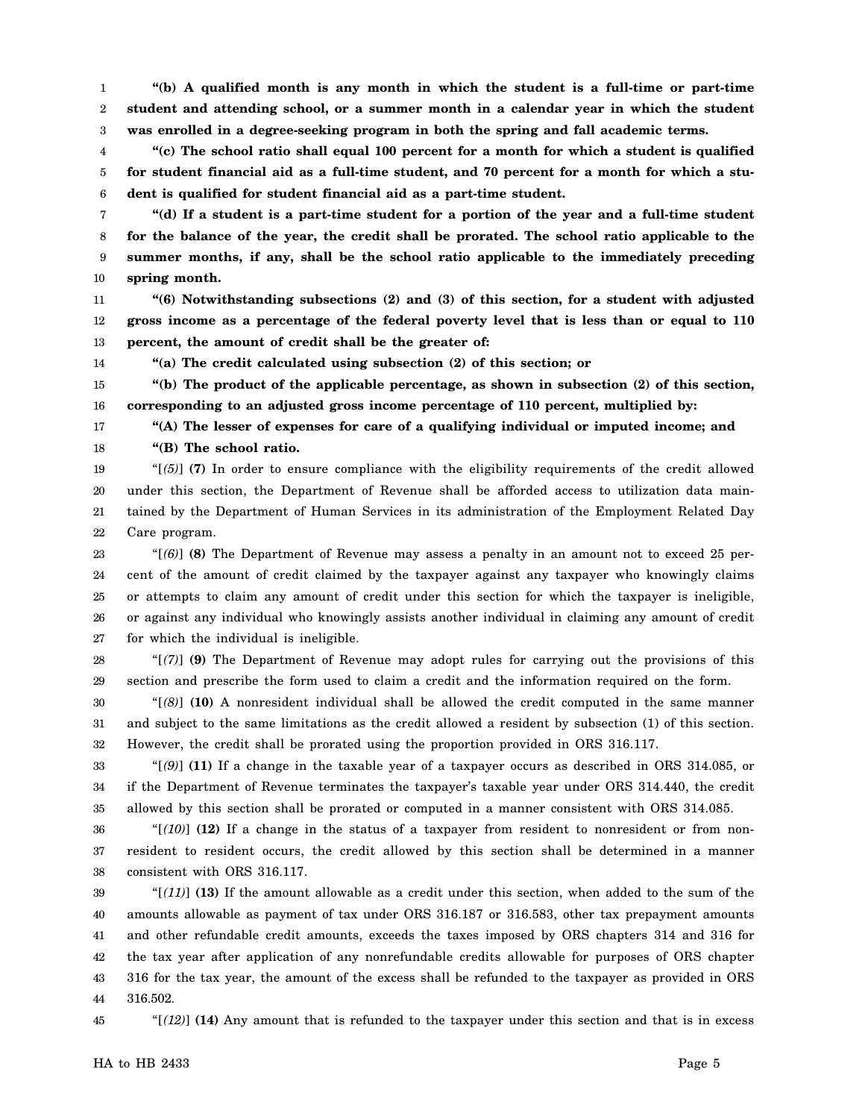1 2 3 **"(b) A qualified month is any month in which the student is a full-time or part-time student and attending school, or a summer month in a calendar year in which the student was enrolled in a degree-seeking program in both the spring and fall academic terms.**

4 5 6 **"(c) The school ratio shall equal 100 percent for a month for which a student is qualified for student financial aid as a full-time student, and 70 percent for a month for which a student is qualified for student financial aid as a part-time student.**

7 8 9 10 **"(d) If a student is a part-time student for a portion of the year and a full-time student for the balance of the year, the credit shall be prorated. The school ratio applicable to the summer months, if any, shall be the school ratio applicable to the immediately preceding spring month.**

11 12 13 **"(6) Notwithstanding subsections (2) and (3) of this section, for a student with adjusted gross income as a percentage of the federal poverty level that is less than or equal to 110 percent, the amount of credit shall be the greater of:**

**"(a) The credit calculated using subsection (2) of this section; or**

15 16 **"(b) The product of the applicable percentage, as shown in subsection (2) of this section, corresponding to an adjusted gross income percentage of 110 percent, multiplied by:**

**"(A) The lesser of expenses for care of a qualifying individual or imputed income; and "(B) The school ratio.**

19 20 21 22 "[*(5)*] **(7)** In order to ensure compliance with the eligibility requirements of the credit allowed under this section, the Department of Revenue shall be afforded access to utilization data maintained by the Department of Human Services in its administration of the Employment Related Day Care program.

23 24 25 26 27 "[*(6)*] **(8)** The Department of Revenue may assess a penalty in an amount not to exceed 25 percent of the amount of credit claimed by the taxpayer against any taxpayer who knowingly claims or attempts to claim any amount of credit under this section for which the taxpayer is ineligible, or against any individual who knowingly assists another individual in claiming any amount of credit for which the individual is ineligible.

28 29 "[*(7)*] **(9)** The Department of Revenue may adopt rules for carrying out the provisions of this section and prescribe the form used to claim a credit and the information required on the form.

30 31 32 "[*(8)*] **(10)** A nonresident individual shall be allowed the credit computed in the same manner and subject to the same limitations as the credit allowed a resident by subsection (1) of this section. However, the credit shall be prorated using the proportion provided in ORS 316.117.

33 34 35 "[*(9)*] **(11)** If a change in the taxable year of a taxpayer occurs as described in ORS 314.085, or if the Department of Revenue terminates the taxpayer's taxable year under ORS 314.440, the credit allowed by this section shall be prorated or computed in a manner consistent with ORS 314.085.

36 37 38 "[*(10)*] **(12)** If a change in the status of a taxpayer from resident to nonresident or from nonresident to resident occurs, the credit allowed by this section shall be determined in a manner consistent with ORS 316.117.

39 40 41 42 43 44 " $[(11)]$  (13) If the amount allowable as a credit under this section, when added to the sum of the amounts allowable as payment of tax under ORS 316.187 or 316.583, other tax prepayment amounts and other refundable credit amounts, exceeds the taxes imposed by ORS chapters 314 and 316 for the tax year after application of any nonrefundable credits allowable for purposes of ORS chapter 316 for the tax year, the amount of the excess shall be refunded to the taxpayer as provided in ORS 316.502.

45

14

17 18

"[*(12)*] **(14)** Any amount that is refunded to the taxpayer under this section and that is in excess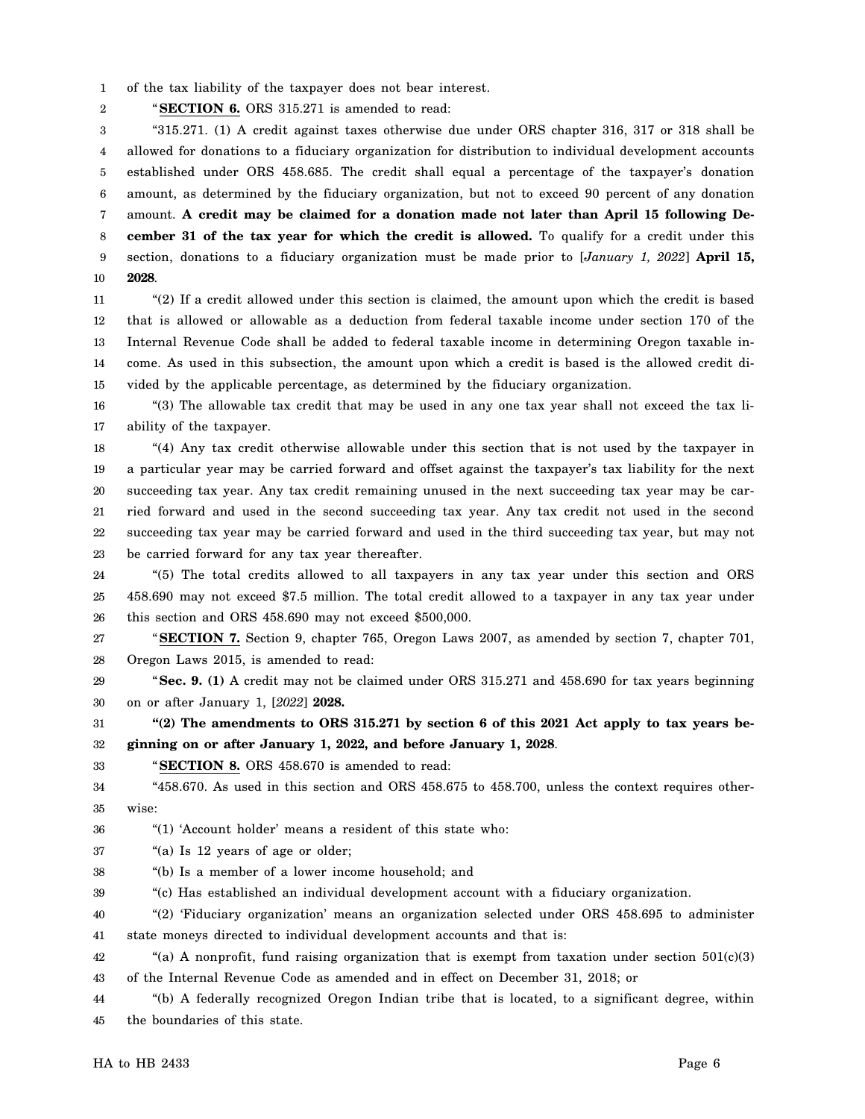1 of the tax liability of the taxpayer does not bear interest.

2 "**SECTION 6.** ORS 315.271 is amended to read:

3 4 5 6 7 8 9 10 "315.271. (1) A credit against taxes otherwise due under ORS chapter 316, 317 or 318 shall be allowed for donations to a fiduciary organization for distribution to individual development accounts established under ORS 458.685. The credit shall equal a percentage of the taxpayer's donation amount, as determined by the fiduciary organization, but not to exceed 90 percent of any donation amount. **A credit may be claimed for a donation made not later than April 15 following December 31 of the tax year for which the credit is allowed.** To qualify for a credit under this section, donations to a fiduciary organization must be made prior to [*January 1, 2022*] **April 15, 2028**.

11 12 13 14 15 "(2) If a credit allowed under this section is claimed, the amount upon which the credit is based that is allowed or allowable as a deduction from federal taxable income under section 170 of the Internal Revenue Code shall be added to federal taxable income in determining Oregon taxable income. As used in this subsection, the amount upon which a credit is based is the allowed credit divided by the applicable percentage, as determined by the fiduciary organization.

16 17 "(3) The allowable tax credit that may be used in any one tax year shall not exceed the tax liability of the taxpayer.

18 19 20 21 22 23 "(4) Any tax credit otherwise allowable under this section that is not used by the taxpayer in a particular year may be carried forward and offset against the taxpayer's tax liability for the next succeeding tax year. Any tax credit remaining unused in the next succeeding tax year may be carried forward and used in the second succeeding tax year. Any tax credit not used in the second succeeding tax year may be carried forward and used in the third succeeding tax year, but may not be carried forward for any tax year thereafter.

24 25 26 "(5) The total credits allowed to all taxpayers in any tax year under this section and ORS 458.690 may not exceed \$7.5 million. The total credit allowed to a taxpayer in any tax year under this section and ORS 458.690 may not exceed \$500,000.

27 28 "**SECTION 7.** Section 9, chapter 765, Oregon Laws 2007, as amended by section 7, chapter 701, Oregon Laws 2015, is amended to read:

29 30 "**Sec. 9. (1)** A credit may not be claimed under ORS 315.271 and 458.690 for tax years beginning on or after January 1, [*2022*] **2028.**

31 32 **"(2) The amendments to ORS 315.271 by section 6 of this 2021 Act apply to tax years beginning on or after January 1, 2022, and before January 1, 2028**.

"**SECTION 8.** ORS 458.670 is amended to read:

34 35 "458.670. As used in this section and ORS 458.675 to 458.700, unless the context requires otherwise:

36 "(1) 'Account holder' means a resident of this state who:

37 "(a) Is 12 years of age or older;

38 "(b) Is a member of a lower income household; and

39 "(c) Has established an individual development account with a fiduciary organization.

40 41 "(2) 'Fiduciary organization' means an organization selected under ORS 458.695 to administer state moneys directed to individual development accounts and that is:

42 43 "(a) A nonprofit, fund raising organization that is exempt from taxation under section  $501(c)(3)$ of the Internal Revenue Code as amended and in effect on December 31, 2018; or

44 45 "(b) A federally recognized Oregon Indian tribe that is located, to a significant degree, within the boundaries of this state.

33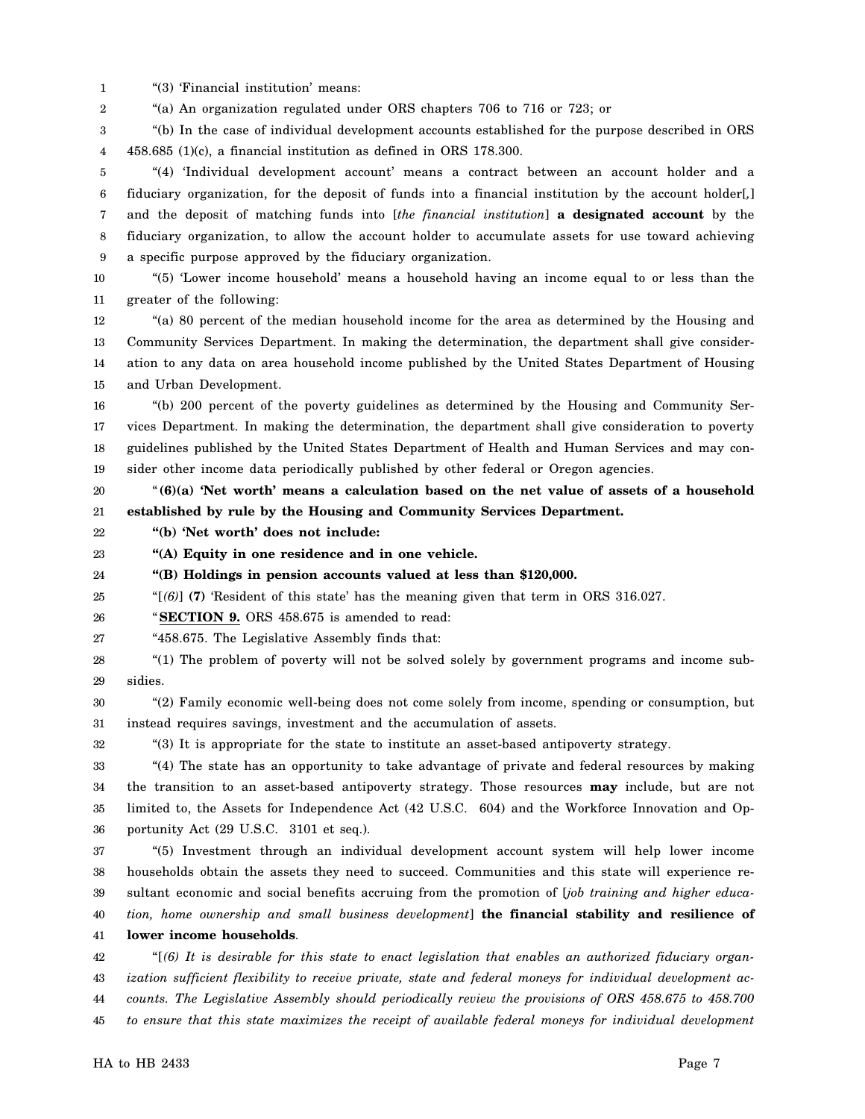1 "(3) 'Financial institution' means:

2 "(a) An organization regulated under ORS chapters 706 to 716 or 723; or

3 4 "(b) In the case of individual development accounts established for the purpose described in ORS 458.685 (1)(c), a financial institution as defined in ORS 178.300.

5 6 7 8 9 "(4) 'Individual development account' means a contract between an account holder and a fiduciary organization, for the deposit of funds into a financial institution by the account holder[*,*] and the deposit of matching funds into [*the financial institution*] **a designated account** by the fiduciary organization, to allow the account holder to accumulate assets for use toward achieving a specific purpose approved by the fiduciary organization.

10 11 "(5) 'Lower income household' means a household having an income equal to or less than the greater of the following:

12 13 14 15 "(a) 80 percent of the median household income for the area as determined by the Housing and Community Services Department. In making the determination, the department shall give consideration to any data on area household income published by the United States Department of Housing and Urban Development.

16 17 18 19 "(b) 200 percent of the poverty guidelines as determined by the Housing and Community Services Department. In making the determination, the department shall give consideration to poverty guidelines published by the United States Department of Health and Human Services and may consider other income data periodically published by other federal or Oregon agencies.

20 21 "**(6)(a) 'Net worth' means a calculation based on the net value of assets of a household established by rule by the Housing and Community Services Department.**

22 **"(b) 'Net worth' does not include:**

23 **"(A) Equity in one residence and in one vehicle.**

24 **"(B) Holdings in pension accounts valued at less than \$120,000.**

25 "[*(6)*] **(7)** 'Resident of this state' has the meaning given that term in ORS 316.027.

26 "**SECTION 9.** ORS 458.675 is amended to read:

27 "458.675. The Legislative Assembly finds that:

28 29 "(1) The problem of poverty will not be solved solely by government programs and income subsidies.

30 31 "(2) Family economic well-being does not come solely from income, spending or consumption, but instead requires savings, investment and the accumulation of assets.

32 "(3) It is appropriate for the state to institute an asset-based antipoverty strategy.

33 34 35 36 "(4) The state has an opportunity to take advantage of private and federal resources by making the transition to an asset-based antipoverty strategy. Those resources **may** include, but are not limited to, the Assets for Independence Act (42 U.S.C. 604) and the Workforce Innovation and Opportunity Act (29 U.S.C. 3101 et seq.).

37 38 39 40 "(5) Investment through an individual development account system will help lower income households obtain the assets they need to succeed. Communities and this state will experience resultant economic and social benefits accruing from the promotion of [*job training and higher education, home ownership and small business development*] **the financial stability and resilience of**

41 **lower income households**.

42 43 44 45 "[*(6) It is desirable for this state to enact legislation that enables an authorized fiduciary organization sufficient flexibility to receive private, state and federal moneys for individual development accounts. The Legislative Assembly should periodically review the provisions of ORS 458.675 to 458.700 to ensure that this state maximizes the receipt of available federal moneys for individual development*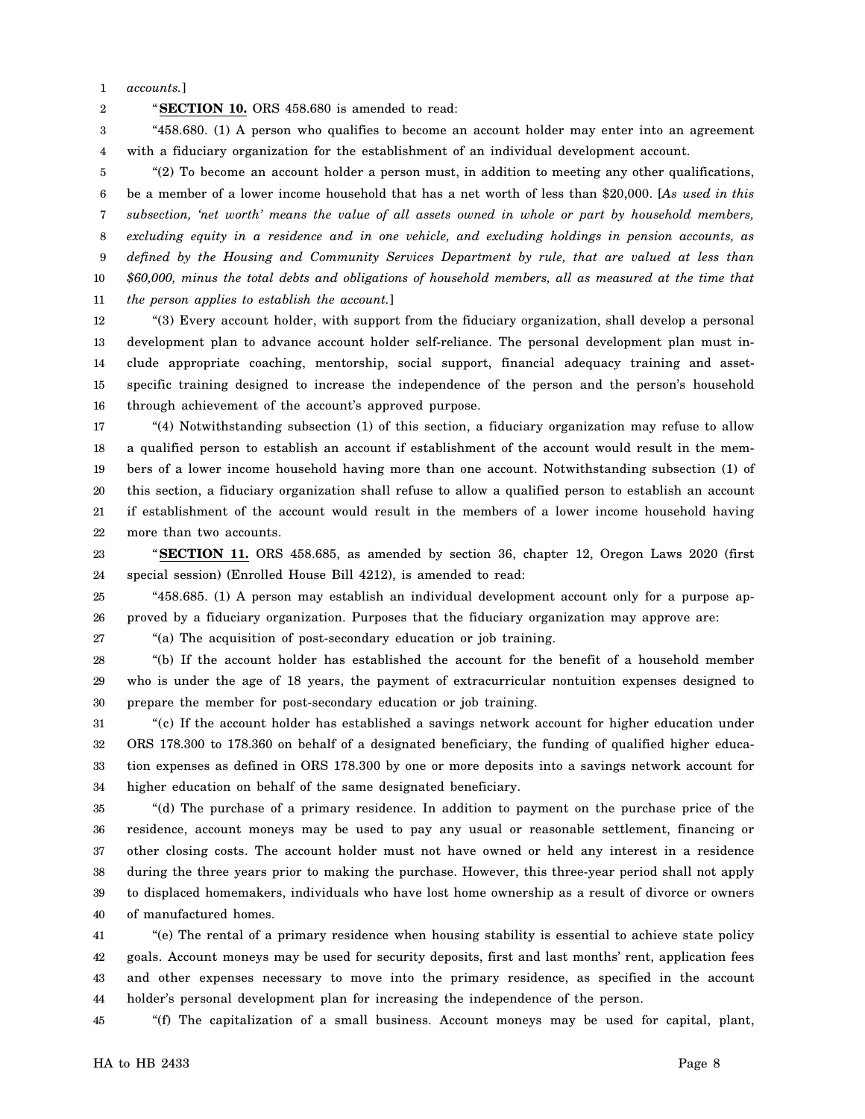1 *accounts.*]

2

"**SECTION 10.** ORS 458.680 is amended to read:

3 4 "458.680. (1) A person who qualifies to become an account holder may enter into an agreement with a fiduciary organization for the establishment of an individual development account.

5 6 7 8 9 10 11 "(2) To become an account holder a person must, in addition to meeting any other qualifications, be a member of a lower income household that has a net worth of less than \$20,000. [*As used in this subsection, 'net worth' means the value of all assets owned in whole or part by household members, excluding equity in a residence and in one vehicle, and excluding holdings in pension accounts, as defined by the Housing and Community Services Department by rule, that are valued at less than \$60,000, minus the total debts and obligations of household members, all as measured at the time that the person applies to establish the account.*]

12 13 14 15 16 "(3) Every account holder, with support from the fiduciary organization, shall develop a personal development plan to advance account holder self-reliance. The personal development plan must include appropriate coaching, mentorship, social support, financial adequacy training and assetspecific training designed to increase the independence of the person and the person's household through achievement of the account's approved purpose.

17 18 19 20 21 22 "(4) Notwithstanding subsection (1) of this section, a fiduciary organization may refuse to allow a qualified person to establish an account if establishment of the account would result in the members of a lower income household having more than one account. Notwithstanding subsection (1) of this section, a fiduciary organization shall refuse to allow a qualified person to establish an account if establishment of the account would result in the members of a lower income household having more than two accounts.

23 24 "**SECTION 11.** ORS 458.685, as amended by section 36, chapter 12, Oregon Laws 2020 (first special session) (Enrolled House Bill 4212), is amended to read:

25 26 "458.685. (1) A person may establish an individual development account only for a purpose approved by a fiduciary organization. Purposes that the fiduciary organization may approve are:

27

"(a) The acquisition of post-secondary education or job training.

28 29 30 "(b) If the account holder has established the account for the benefit of a household member who is under the age of 18 years, the payment of extracurricular nontuition expenses designed to prepare the member for post-secondary education or job training.

31 32 33 34 "(c) If the account holder has established a savings network account for higher education under ORS 178.300 to 178.360 on behalf of a designated beneficiary, the funding of qualified higher education expenses as defined in ORS 178.300 by one or more deposits into a savings network account for higher education on behalf of the same designated beneficiary.

35 36 37 38 39 40 "(d) The purchase of a primary residence. In addition to payment on the purchase price of the residence, account moneys may be used to pay any usual or reasonable settlement, financing or other closing costs. The account holder must not have owned or held any interest in a residence during the three years prior to making the purchase. However, this three-year period shall not apply to displaced homemakers, individuals who have lost home ownership as a result of divorce or owners of manufactured homes.

41 42 43 44 "(e) The rental of a primary residence when housing stability is essential to achieve state policy goals. Account moneys may be used for security deposits, first and last months' rent, application fees and other expenses necessary to move into the primary residence, as specified in the account holder's personal development plan for increasing the independence of the person.

45 "(f) The capitalization of a small business. Account moneys may be used for capital, plant,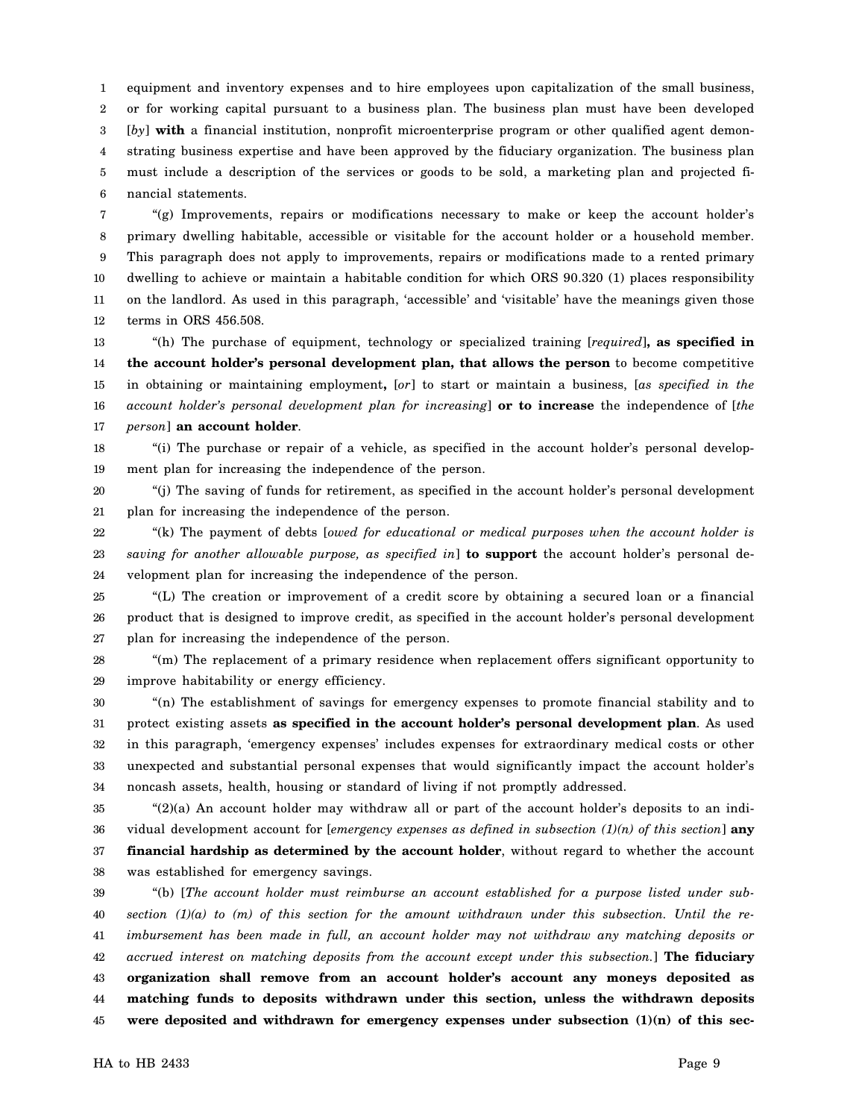1 2 3 4 5 6 equipment and inventory expenses and to hire employees upon capitalization of the small business, or for working capital pursuant to a business plan. The business plan must have been developed [*by*] with a financial institution, nonprofit microenterprise program or other qualified agent demonstrating business expertise and have been approved by the fiduciary organization. The business plan must include a description of the services or goods to be sold, a marketing plan and projected financial statements.

7 8 9 10 11 12 "(g) Improvements, repairs or modifications necessary to make or keep the account holder's primary dwelling habitable, accessible or visitable for the account holder or a household member. This paragraph does not apply to improvements, repairs or modifications made to a rented primary dwelling to achieve or maintain a habitable condition for which ORS 90.320 (1) places responsibility on the landlord. As used in this paragraph, 'accessible' and 'visitable' have the meanings given those terms in ORS 456.508.

13 14 15 16 17 "(h) The purchase of equipment, technology or specialized training [*required*]**, as specified in the account holder's personal development plan, that allows the person** to become competitive in obtaining or maintaining employment**,** [*or*] to start or maintain a business, [*as specified in the account holder's personal development plan for increasing*] **or to increase** the independence of [*the person*] **an account holder**.

18 19 "(i) The purchase or repair of a vehicle, as specified in the account holder's personal development plan for increasing the independence of the person.

20 21 "(j) The saving of funds for retirement, as specified in the account holder's personal development plan for increasing the independence of the person.

22 23 24 "(k) The payment of debts [*owed for educational or medical purposes when the account holder is saving for another allowable purpose, as specified in*] **to support** the account holder's personal development plan for increasing the independence of the person.

25 26 27 "(L) The creation or improvement of a credit score by obtaining a secured loan or a financial product that is designed to improve credit, as specified in the account holder's personal development plan for increasing the independence of the person.

28 29 "(m) The replacement of a primary residence when replacement offers significant opportunity to improve habitability or energy efficiency.

30 31 32 33 34 "(n) The establishment of savings for emergency expenses to promote financial stability and to protect existing assets **as specified in the account holder's personal development plan**. As used in this paragraph, 'emergency expenses' includes expenses for extraordinary medical costs or other unexpected and substantial personal expenses that would significantly impact the account holder's noncash assets, health, housing or standard of living if not promptly addressed.

35 36 37 38 "(2)(a) An account holder may withdraw all or part of the account holder's deposits to an individual development account for [*emergency expenses as defined in subsection (1)(n) of this section*] **any financial hardship as determined by the account holder**, without regard to whether the account was established for emergency savings.

39 40 41 42 43 44 45 "(b) [*The account holder must reimburse an account established for a purpose listed under subsection (1)(a) to (m) of this section for the amount withdrawn under this subsection. Until the reimbursement has been made in full, an account holder may not withdraw any matching deposits or accrued interest on matching deposits from the account except under this subsection.*] **The fiduciary organization shall remove from an account holder's account any moneys deposited as matching funds to deposits withdrawn under this section, unless the withdrawn deposits** were deposited and withdrawn for emergency expenses under subsection  $(1)(n)$  of this sec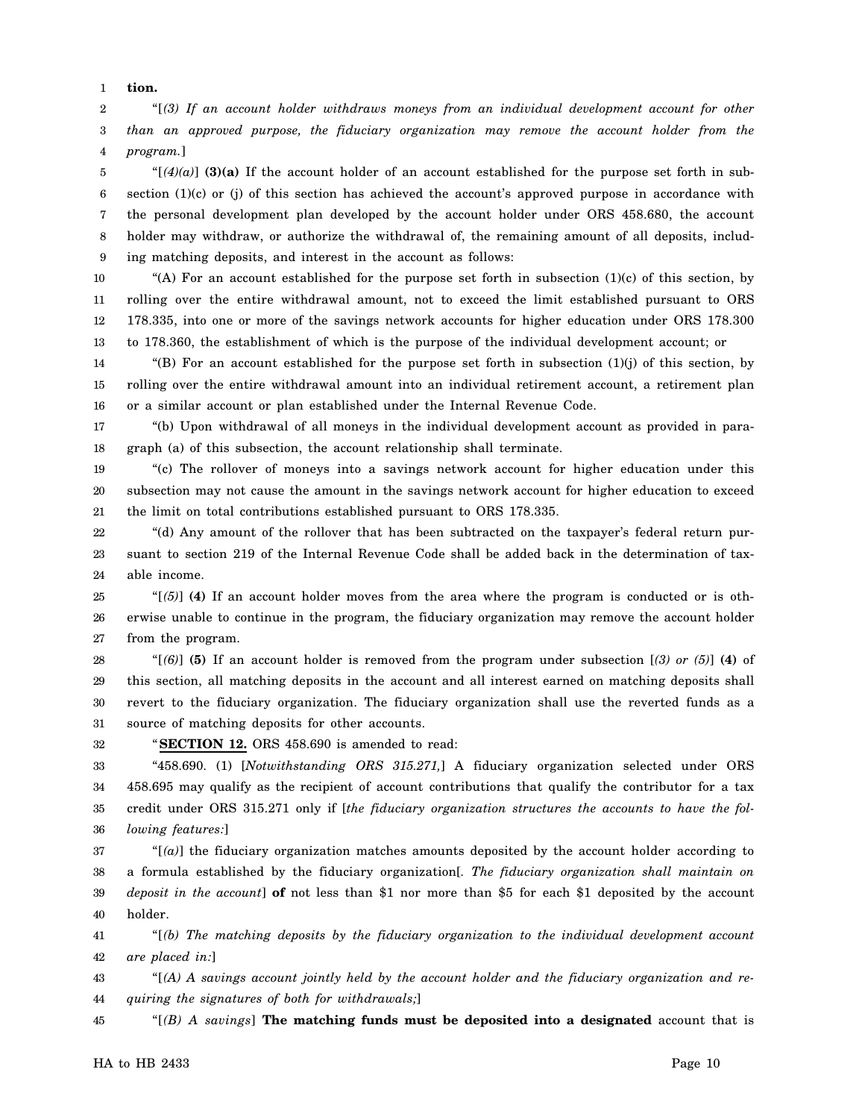1 **tion.**

2 3 4 "[*(3) If an account holder withdraws moneys from an individual development account for other than an approved purpose, the fiduciary organization may remove the account holder from the program.*]

5 6 7 8 9 " $[(4)(a)]$  (3)(a) If the account holder of an account established for the purpose set forth in subsection (1)(c) or (j) of this section has achieved the account's approved purpose in accordance with the personal development plan developed by the account holder under ORS 458.680, the account holder may withdraw, or authorize the withdrawal of, the remaining amount of all deposits, including matching deposits, and interest in the account as follows:

10 11 12 13 "(A) For an account established for the purpose set forth in subsection  $(1)(c)$  of this section, by rolling over the entire withdrawal amount, not to exceed the limit established pursuant to ORS 178.335, into one or more of the savings network accounts for higher education under ORS 178.300 to 178.360, the establishment of which is the purpose of the individual development account; or

14 15 16 "(B) For an account established for the purpose set forth in subsection  $(1)(j)$  of this section, by rolling over the entire withdrawal amount into an individual retirement account, a retirement plan or a similar account or plan established under the Internal Revenue Code.

17 18 "(b) Upon withdrawal of all moneys in the individual development account as provided in paragraph (a) of this subsection, the account relationship shall terminate.

19 20 21 "(c) The rollover of moneys into a savings network account for higher education under this subsection may not cause the amount in the savings network account for higher education to exceed the limit on total contributions established pursuant to ORS 178.335.

22 23 24 "(d) Any amount of the rollover that has been subtracted on the taxpayer's federal return pursuant to section 219 of the Internal Revenue Code shall be added back in the determination of taxable income.

25 26 27 " $[6]$  (4) If an account holder moves from the area where the program is conducted or is otherwise unable to continue in the program, the fiduciary organization may remove the account holder from the program.

28 29 30 31 "[*(6)*] **(5)** If an account holder is removed from the program under subsection [*(3) or (5)*] **(4)** of this section, all matching deposits in the account and all interest earned on matching deposits shall revert to the fiduciary organization. The fiduciary organization shall use the reverted funds as a source of matching deposits for other accounts.

32 "**SECTION 12.** ORS 458.690 is amended to read:

33 34 35 36 "458.690. (1) [*Notwithstanding ORS 315.271,*] A fiduciary organization selected under ORS 458.695 may qualify as the recipient of account contributions that qualify the contributor for a tax credit under ORS 315.271 only if [*the fiduciary organization structures the accounts to have the following features:*]

37 38 39 40 "[*(a)*] the fiduciary organization matches amounts deposited by the account holder according to a formula established by the fiduciary organization[*. The fiduciary organization shall maintain on deposit in the account*] **of** not less than \$1 nor more than \$5 for each \$1 deposited by the account holder.

41 42 "[*(b) The matching deposits by the fiduciary organization to the individual development account are placed in:*]

43 44 "[*(A) A savings account jointly held by the account holder and the fiduciary organization and requiring the signatures of both for withdrawals;*]

45 "[*(B) A savings*] **The matching funds must be deposited into a designated** account that is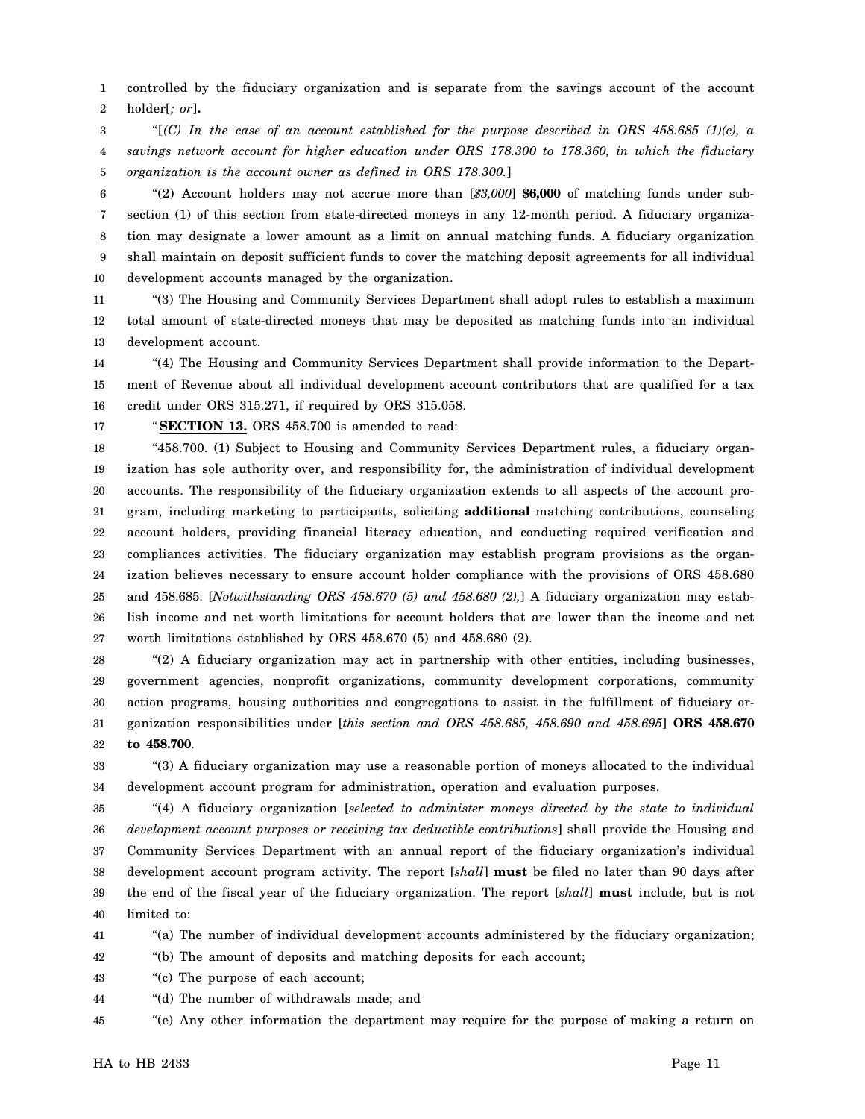1 2 controlled by the fiduciary organization and is separate from the savings account of the account holder[*; or*]**.**

3 4 5 "[*(C) In the case of an account established for the purpose described in ORS 458.685 (1)(c), a savings network account for higher education under ORS 178.300 to 178.360, in which the fiduciary organization is the account owner as defined in ORS 178.300.*]

6 7 8 9 10 "(2) Account holders may not accrue more than [*\$3,000*] **\$6,000** of matching funds under subsection (1) of this section from state-directed moneys in any 12-month period. A fiduciary organization may designate a lower amount as a limit on annual matching funds. A fiduciary organization shall maintain on deposit sufficient funds to cover the matching deposit agreements for all individual development accounts managed by the organization.

11 12 13 "(3) The Housing and Community Services Department shall adopt rules to establish a maximum total amount of state-directed moneys that may be deposited as matching funds into an individual development account.

14 15 16 "(4) The Housing and Community Services Department shall provide information to the Department of Revenue about all individual development account contributors that are qualified for a tax credit under ORS 315.271, if required by ORS 315.058.

17

"**SECTION 13.** ORS 458.700 is amended to read:

18 19 20 21 22 23 24 25 26 27 "458.700. (1) Subject to Housing and Community Services Department rules, a fiduciary organization has sole authority over, and responsibility for, the administration of individual development accounts. The responsibility of the fiduciary organization extends to all aspects of the account program, including marketing to participants, soliciting **additional** matching contributions, counseling account holders, providing financial literacy education, and conducting required verification and compliances activities. The fiduciary organization may establish program provisions as the organization believes necessary to ensure account holder compliance with the provisions of ORS 458.680 and 458.685. [*Notwithstanding ORS 458.670 (5) and 458.680 (2),*] A fiduciary organization may establish income and net worth limitations for account holders that are lower than the income and net worth limitations established by ORS 458.670 (5) and 458.680 (2).

28 29 30 31 32 "(2) A fiduciary organization may act in partnership with other entities, including businesses, government agencies, nonprofit organizations, community development corporations, community action programs, housing authorities and congregations to assist in the fulfillment of fiduciary organization responsibilities under [*this section and ORS 458.685, 458.690 and 458.695*] **ORS 458.670 to 458.700**.

33 34 "(3) A fiduciary organization may use a reasonable portion of moneys allocated to the individual development account program for administration, operation and evaluation purposes.

35 36 37 38 39 40 "(4) A fiduciary organization [*selected to administer moneys directed by the state to individual development account purposes or receiving tax deductible contributions*] shall provide the Housing and Community Services Department with an annual report of the fiduciary organization's individual development account program activity. The report [*shall*] **must** be filed no later than 90 days after the end of the fiscal year of the fiduciary organization. The report [*shall*] **must** include, but is not limited to:

41 "(a) The number of individual development accounts administered by the fiduciary organization;

42 "(b) The amount of deposits and matching deposits for each account;

43 "(c) The purpose of each account;

44 "(d) The number of withdrawals made; and

45 "(e) Any other information the department may require for the purpose of making a return on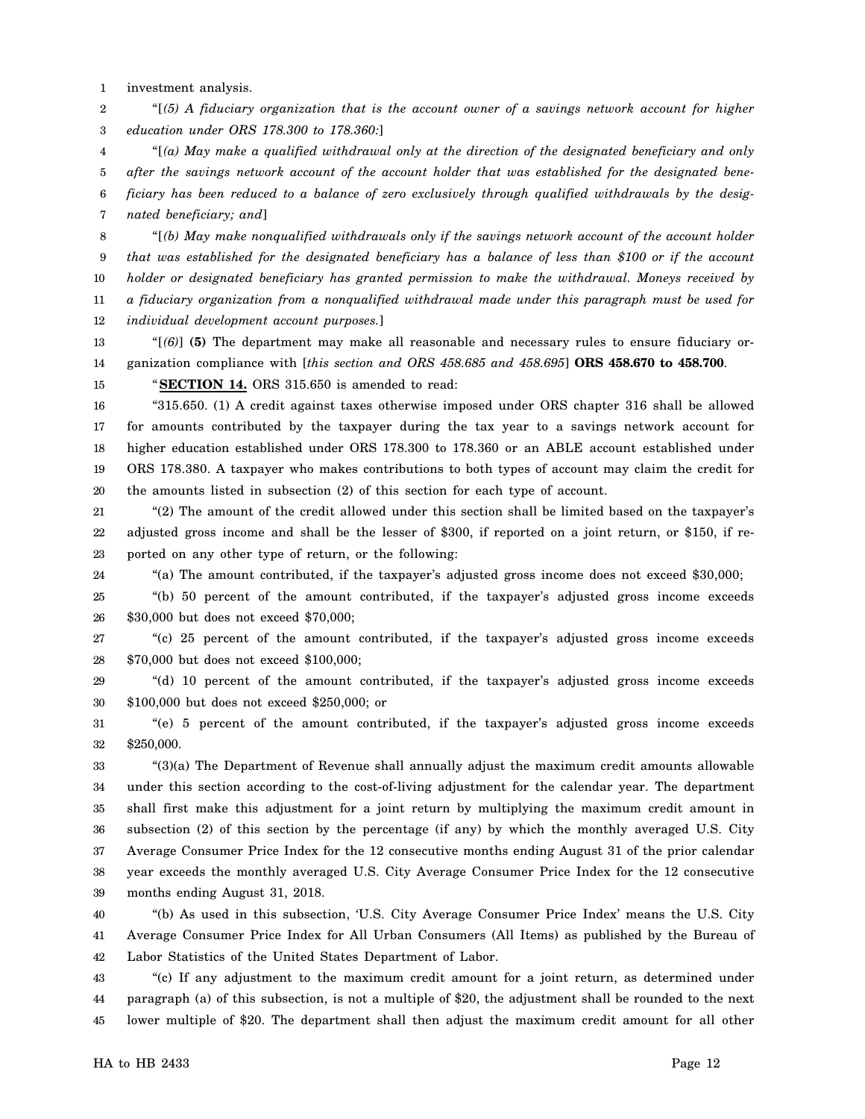1 investment analysis.

2 3 "[*(5) A fiduciary organization that is the account owner of a savings network account for higher education under ORS 178.300 to 178.360:*]

4 5 6 7 "[*(a) May make a qualified withdrawal only at the direction of the designated beneficiary and only after the savings network account of the account holder that was established for the designated beneficiary has been reduced to a balance of zero exclusively through qualified withdrawals by the designated beneficiary; and*]

8 9 10 11 "[*(b) May make nonqualified withdrawals only if the savings network account of the account holder that was established for the designated beneficiary has a balance of less than \$100 or if the account holder or designated beneficiary has granted permission to make the withdrawal. Moneys received by a fiduciary organization from a nonqualified withdrawal made under this paragraph must be used for*

12 *individual development account purposes.*]

13 14 "[*(6)*] **(5)** The department may make all reasonable and necessary rules to ensure fiduciary organization compliance with [*this section and ORS 458.685 and 458.695*] **ORS 458.670 to 458.700**.

15 "**SECTION 14.** ORS 315.650 is amended to read:

16 17 18 19 20 "315.650. (1) A credit against taxes otherwise imposed under ORS chapter 316 shall be allowed for amounts contributed by the taxpayer during the tax year to a savings network account for higher education established under ORS 178.300 to 178.360 or an ABLE account established under ORS 178.380. A taxpayer who makes contributions to both types of account may claim the credit for the amounts listed in subsection (2) of this section for each type of account.

21 22 23 "(2) The amount of the credit allowed under this section shall be limited based on the taxpayer's adjusted gross income and shall be the lesser of \$300, if reported on a joint return, or \$150, if reported on any other type of return, or the following:

24 "(a) The amount contributed, if the taxpayer's adjusted gross income does not exceed \$30,000;

25 26 "(b) 50 percent of the amount contributed, if the taxpayer's adjusted gross income exceeds \$30,000 but does not exceed \$70,000;

27 28 "(c) 25 percent of the amount contributed, if the taxpayer's adjusted gross income exceeds \$70,000 but does not exceed \$100,000;

29 30 "(d) 10 percent of the amount contributed, if the taxpayer's adjusted gross income exceeds \$100,000 but does not exceed \$250,000; or

31 32 "(e) 5 percent of the amount contributed, if the taxpayer's adjusted gross income exceeds \$250,000.

33 34 35 36 37 38 39 "(3)(a) The Department of Revenue shall annually adjust the maximum credit amounts allowable under this section according to the cost-of-living adjustment for the calendar year. The department shall first make this adjustment for a joint return by multiplying the maximum credit amount in subsection (2) of this section by the percentage (if any) by which the monthly averaged U.S. City Average Consumer Price Index for the 12 consecutive months ending August 31 of the prior calendar year exceeds the monthly averaged U.S. City Average Consumer Price Index for the 12 consecutive months ending August 31, 2018.

40 41 42 "(b) As used in this subsection, 'U.S. City Average Consumer Price Index' means the U.S. City Average Consumer Price Index for All Urban Consumers (All Items) as published by the Bureau of Labor Statistics of the United States Department of Labor.

43 44 45 "(c) If any adjustment to the maximum credit amount for a joint return, as determined under paragraph (a) of this subsection, is not a multiple of \$20, the adjustment shall be rounded to the next lower multiple of \$20. The department shall then adjust the maximum credit amount for all other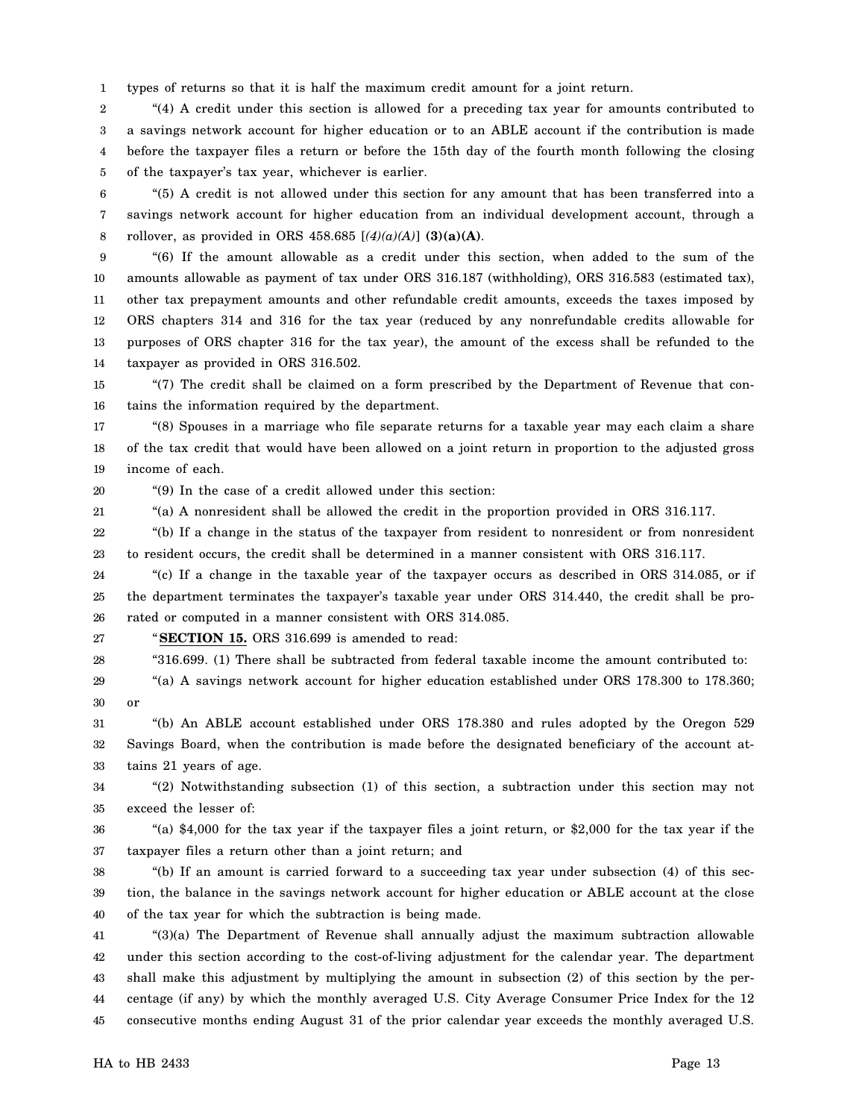1 types of returns so that it is half the maximum credit amount for a joint return.

2 3 4 5 "(4) A credit under this section is allowed for a preceding tax year for amounts contributed to a savings network account for higher education or to an ABLE account if the contribution is made before the taxpayer files a return or before the 15th day of the fourth month following the closing of the taxpayer's tax year, whichever is earlier.

6 7 8 "(5) A credit is not allowed under this section for any amount that has been transferred into a savings network account for higher education from an individual development account, through a rollover, as provided in ORS 458.685  $[(4)(a)(A)]$  (3)(a)(A).

9 10 11 12 13 14 "(6) If the amount allowable as a credit under this section, when added to the sum of the amounts allowable as payment of tax under ORS 316.187 (withholding), ORS 316.583 (estimated tax), other tax prepayment amounts and other refundable credit amounts, exceeds the taxes imposed by ORS chapters 314 and 316 for the tax year (reduced by any nonrefundable credits allowable for purposes of ORS chapter 316 for the tax year), the amount of the excess shall be refunded to the taxpayer as provided in ORS 316.502.

15 16 "(7) The credit shall be claimed on a form prescribed by the Department of Revenue that contains the information required by the department.

17 18 19 "(8) Spouses in a marriage who file separate returns for a taxable year may each claim a share of the tax credit that would have been allowed on a joint return in proportion to the adjusted gross income of each.

20

"(9) In the case of a credit allowed under this section:

21 "(a) A nonresident shall be allowed the credit in the proportion provided in ORS 316.117.

22 23 "(b) If a change in the status of the taxpayer from resident to nonresident or from nonresident to resident occurs, the credit shall be determined in a manner consistent with ORS 316.117.

24 25 26 "(c) If a change in the taxable year of the taxpayer occurs as described in ORS 314.085, or if the department terminates the taxpayer's taxable year under ORS 314.440, the credit shall be prorated or computed in a manner consistent with ORS 314.085.

27 "**SECTION 15.** ORS 316.699 is amended to read:

28 "316.699. (1) There shall be subtracted from federal taxable income the amount contributed to:

29 30 "(a) A savings network account for higher education established under ORS 178.300 to 178.360; or

31 32 33 "(b) An ABLE account established under ORS 178.380 and rules adopted by the Oregon 529 Savings Board, when the contribution is made before the designated beneficiary of the account attains 21 years of age.

34 35 "(2) Notwithstanding subsection (1) of this section, a subtraction under this section may not exceed the lesser of:

36 37 "(a) \$4,000 for the tax year if the taxpayer files a joint return, or \$2,000 for the tax year if the taxpayer files a return other than a joint return; and

38 39 40 "(b) If an amount is carried forward to a succeeding tax year under subsection (4) of this section, the balance in the savings network account for higher education or ABLE account at the close of the tax year for which the subtraction is being made.

41 42 43 44 45 "(3)(a) The Department of Revenue shall annually adjust the maximum subtraction allowable under this section according to the cost-of-living adjustment for the calendar year. The department shall make this adjustment by multiplying the amount in subsection (2) of this section by the percentage (if any) by which the monthly averaged U.S. City Average Consumer Price Index for the 12 consecutive months ending August 31 of the prior calendar year exceeds the monthly averaged U.S.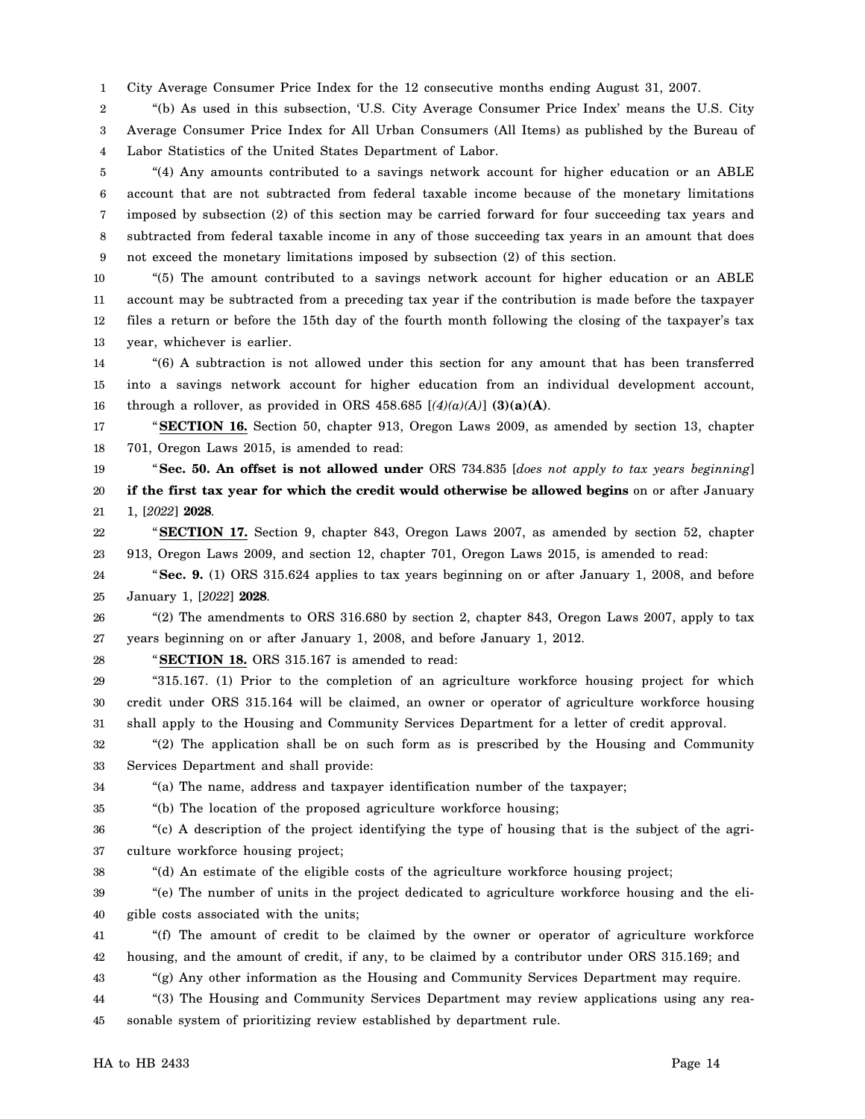1 City Average Consumer Price Index for the 12 consecutive months ending August 31, 2007.

2 3 4 "(b) As used in this subsection, 'U.S. City Average Consumer Price Index' means the U.S. City Average Consumer Price Index for All Urban Consumers (All Items) as published by the Bureau of Labor Statistics of the United States Department of Labor.

5 6 7 8 9 "(4) Any amounts contributed to a savings network account for higher education or an ABLE account that are not subtracted from federal taxable income because of the monetary limitations imposed by subsection (2) of this section may be carried forward for four succeeding tax years and subtracted from federal taxable income in any of those succeeding tax years in an amount that does not exceed the monetary limitations imposed by subsection (2) of this section.

10 11 12 13 "(5) The amount contributed to a savings network account for higher education or an ABLE account may be subtracted from a preceding tax year if the contribution is made before the taxpayer files a return or before the 15th day of the fourth month following the closing of the taxpayer's tax year, whichever is earlier.

14 15 16 "(6) A subtraction is not allowed under this section for any amount that has been transferred into a savings network account for higher education from an individual development account, through a rollover, as provided in ORS 458.685  $[(4)(a)(A)]$  (3)(a)(A).

17 18 "**SECTION 16.** Section 50, chapter 913, Oregon Laws 2009, as amended by section 13, chapter 701, Oregon Laws 2015, is amended to read:

19 20 21 "**Sec. 50. An offset is not allowed under** ORS 734.835 [*does not apply to tax years beginning*] **if the first tax year for which the credit would otherwise be allowed begins** on or after January 1, [*2022*] **2028**.

22 23 "**SECTION 17.** Section 9, chapter 843, Oregon Laws 2007, as amended by section 52, chapter 913, Oregon Laws 2009, and section 12, chapter 701, Oregon Laws 2015, is amended to read:

24 25 "**Sec. 9.** (1) ORS 315.624 applies to tax years beginning on or after January 1, 2008, and before January 1, [*2022*] **2028**.

26 27 "(2) The amendments to ORS 316.680 by section 2, chapter 843, Oregon Laws 2007, apply to tax years beginning on or after January 1, 2008, and before January 1, 2012.

28

"**SECTION 18.** ORS 315.167 is amended to read:

29 30 31 "315.167. (1) Prior to the completion of an agriculture workforce housing project for which credit under ORS 315.164 will be claimed, an owner or operator of agriculture workforce housing shall apply to the Housing and Community Services Department for a letter of credit approval.

32 33 "(2) The application shall be on such form as is prescribed by the Housing and Community Services Department and shall provide:

34 "(a) The name, address and taxpayer identification number of the taxpayer;

35 "(b) The location of the proposed agriculture workforce housing;

36 37 "(c) A description of the project identifying the type of housing that is the subject of the agriculture workforce housing project;

38

"(d) An estimate of the eligible costs of the agriculture workforce housing project;

39 40 "(e) The number of units in the project dedicated to agriculture workforce housing and the eligible costs associated with the units;

41 42 "(f) The amount of credit to be claimed by the owner or operator of agriculture workforce housing, and the amount of credit, if any, to be claimed by a contributor under ORS 315.169; and

43 "(g) Any other information as the Housing and Community Services Department may require.

44 45 "(3) The Housing and Community Services Department may review applications using any reasonable system of prioritizing review established by department rule.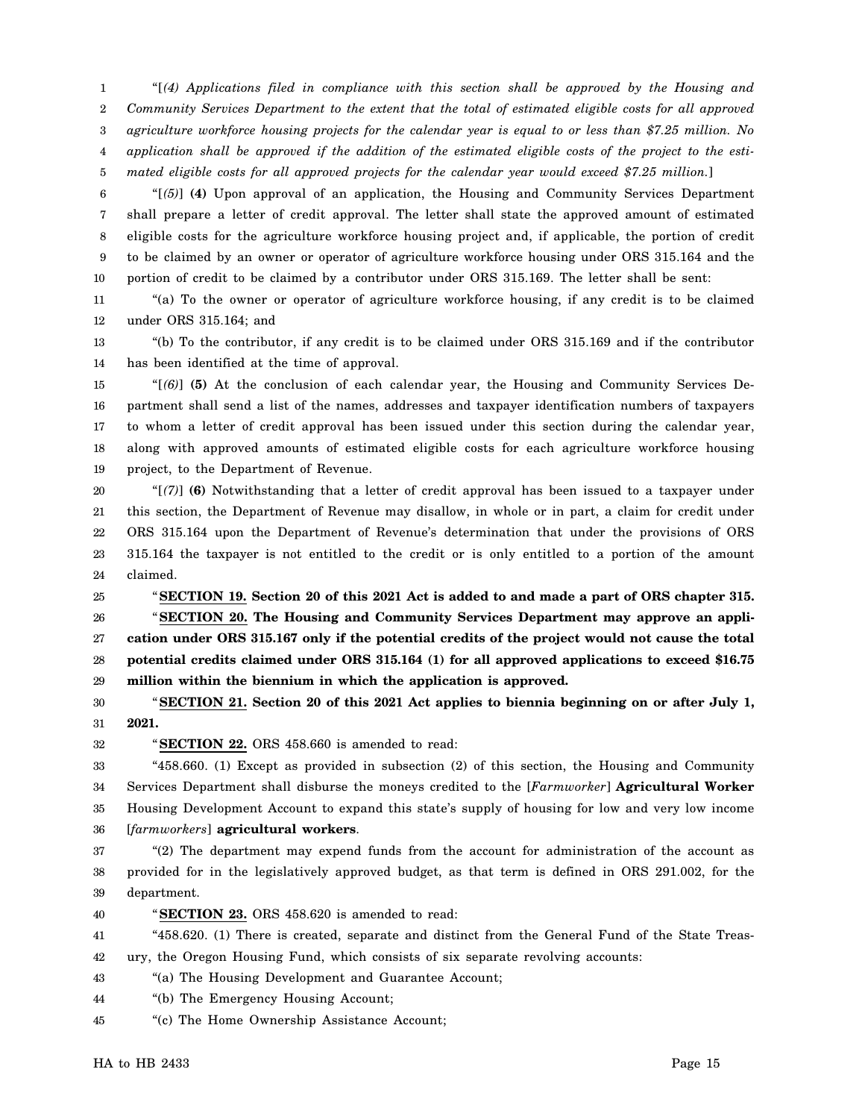1 2 3 4 5 "[*(4) Applications filed in compliance with this section shall be approved by the Housing and Community Services Department to the extent that the total of estimated eligible costs for all approved agriculture workforce housing projects for the calendar year is equal to or less than \$7.25 million. No application shall be approved if the addition of the estimated eligible costs of the project to the estimated eligible costs for all approved projects for the calendar year would exceed \$7.25 million.*]

6 7 8 9 10 "[*(5)*] **(4)** Upon approval of an application, the Housing and Community Services Department shall prepare a letter of credit approval. The letter shall state the approved amount of estimated eligible costs for the agriculture workforce housing project and, if applicable, the portion of credit to be claimed by an owner or operator of agriculture workforce housing under ORS 315.164 and the portion of credit to be claimed by a contributor under ORS 315.169. The letter shall be sent:

11 12 "(a) To the owner or operator of agriculture workforce housing, if any credit is to be claimed under ORS 315.164; and

13 14 "(b) To the contributor, if any credit is to be claimed under ORS 315.169 and if the contributor has been identified at the time of approval.

15 16 17 18 19 "[*(6)*] **(5)** At the conclusion of each calendar year, the Housing and Community Services Department shall send a list of the names, addresses and taxpayer identification numbers of taxpayers to whom a letter of credit approval has been issued under this section during the calendar year, along with approved amounts of estimated eligible costs for each agriculture workforce housing project, to the Department of Revenue.

20 21 22 23 24 "[*(7)*] **(6)** Notwithstanding that a letter of credit approval has been issued to a taxpayer under this section, the Department of Revenue may disallow, in whole or in part, a claim for credit under ORS 315.164 upon the Department of Revenue's determination that under the provisions of ORS 315.164 the taxpayer is not entitled to the credit or is only entitled to a portion of the amount claimed.

25 26 27 28 29 "**SECTION 19. Section 20 of this 2021 Act is added to and made a part of ORS chapter 315.** "**SECTION 20. The Housing and Community Services Department may approve an application under ORS 315.167 only if the potential credits of the project would not cause the total potential credits claimed under ORS 315.164 (1) for all approved applications to exceed \$16.75 million within the biennium in which the application is approved.**

30 31 "**SECTION 21. Section 20 of this 2021 Act applies to biennia beginning on or after July 1, 2021.**

32

"**SECTION 22.** ORS 458.660 is amended to read:

33 34 35 36 "458.660. (1) Except as provided in subsection (2) of this section, the Housing and Community Services Department shall disburse the moneys credited to the [*Farmworker*] **Agricultural Worker** Housing Development Account to expand this state's supply of housing for low and very low income [*farmworkers*] **agricultural workers**.

37 38 39 "(2) The department may expend funds from the account for administration of the account as provided for in the legislatively approved budget, as that term is defined in ORS 291.002, for the department.

40 "**SECTION 23.** ORS 458.620 is amended to read:

41 42 "458.620. (1) There is created, separate and distinct from the General Fund of the State Treasury, the Oregon Housing Fund, which consists of six separate revolving accounts:

43 "(a) The Housing Development and Guarantee Account;

44 "(b) The Emergency Housing Account;

45 "(c) The Home Ownership Assistance Account;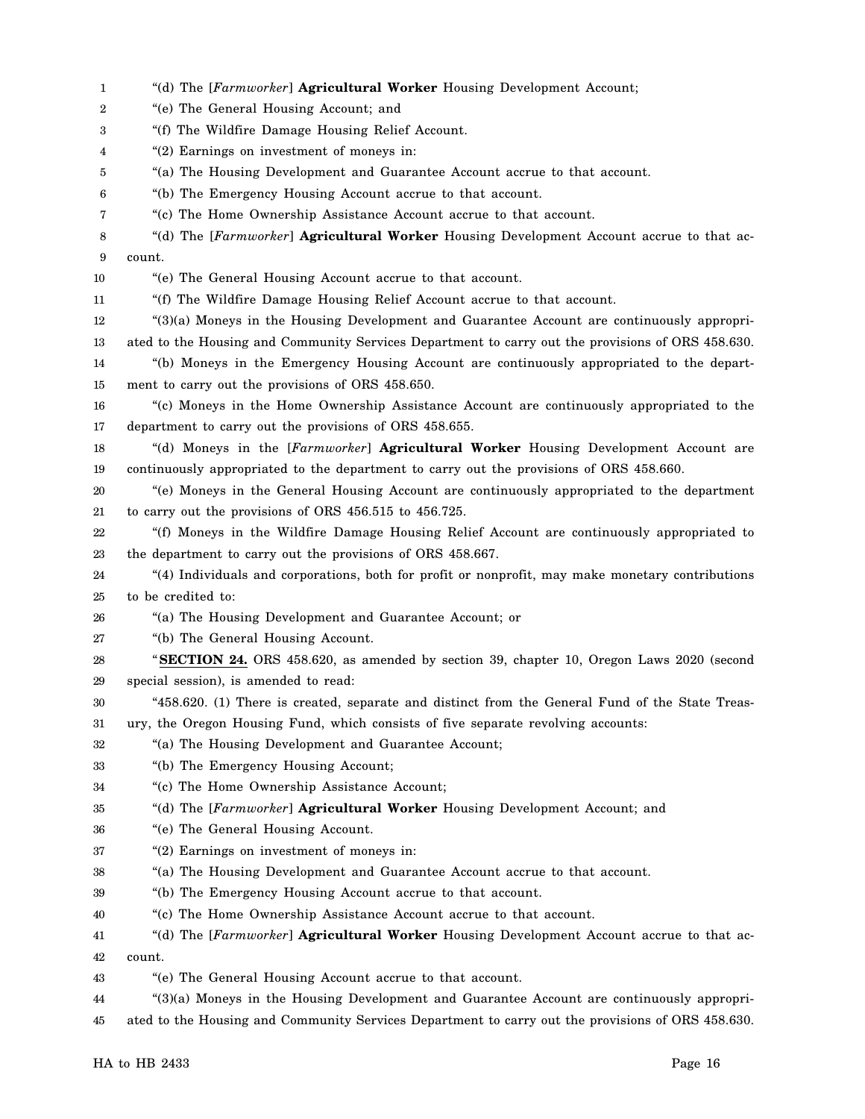| 1  | "(d) The [Farmworker] Agricultural Worker Housing Development Account;                            |
|----|---------------------------------------------------------------------------------------------------|
| 2  | "(e) The General Housing Account; and                                                             |
| 3  | "(f) The Wildfire Damage Housing Relief Account.                                                  |
| 4  | "(2) Earnings on investment of moneys in:                                                         |
| 5  | "(a) The Housing Development and Guarantee Account accrue to that account.                        |
| 6  | "(b) The Emergency Housing Account accrue to that account.                                        |
| 7  | "(c) The Home Ownership Assistance Account accrue to that account.                                |
| 8  | "(d) The [Farmworker] Agricultural Worker Housing Development Account accrue to that ac-          |
| 9  | count.                                                                                            |
| 10 | "(e) The General Housing Account accrue to that account.                                          |
| 11 | "(f) The Wildfire Damage Housing Relief Account accrue to that account.                           |
| 12 | "(3)(a) Moneys in the Housing Development and Guarantee Account are continuously appropri-        |
| 13 | ated to the Housing and Community Services Department to carry out the provisions of ORS 458.630. |
| 14 | "(b) Moneys in the Emergency Housing Account are continuously appropriated to the depart-         |
| 15 | ment to carry out the provisions of ORS 458.650.                                                  |
| 16 | "(c) Moneys in the Home Ownership Assistance Account are continuously appropriated to the         |
| 17 | department to carry out the provisions of ORS 458.655.                                            |
| 18 | "(d) Moneys in the [Farmworker] Agricultural Worker Housing Development Account are               |
| 19 | continuously appropriated to the department to carry out the provisions of ORS 458.660.           |
| 20 | "(e) Moneys in the General Housing Account are continuously appropriated to the department        |
| 21 | to carry out the provisions of ORS 456.515 to 456.725.                                            |
| 22 | "(f) Moneys in the Wildfire Damage Housing Relief Account are continuously appropriated to        |
| 23 | the department to carry out the provisions of ORS 458.667.                                        |
| 24 | "(4) Individuals and corporations, both for profit or nonprofit, may make monetary contributions  |
| 25 | to be credited to:                                                                                |
| 26 | "(a) The Housing Development and Guarantee Account; or                                            |
| 27 | "(b) The General Housing Account.                                                                 |
| 28 | "SECTION 24. ORS 458.620, as amended by section 39, chapter 10, Oregon Laws 2020 (second          |
| 29 | special session), is amended to read:                                                             |
| 30 | "458.620. (1) There is created, separate and distinct from the General Fund of the State Treas-   |
| 31 | ury, the Oregon Housing Fund, which consists of five separate revolving accounts:                 |
| 32 | "(a) The Housing Development and Guarantee Account;                                               |
| 33 | "(b) The Emergency Housing Account;                                                               |
| 34 | "(c) The Home Ownership Assistance Account;                                                       |
| 35 | "(d) The [Farmworker] Agricultural Worker Housing Development Account; and                        |
| 36 | "(e) The General Housing Account.                                                                 |
| 37 | "(2) Earnings on investment of moneys in:                                                         |
| 38 | "(a) The Housing Development and Guarantee Account accrue to that account.                        |
| 39 | "(b) The Emergency Housing Account accrue to that account.                                        |
| 40 | "(c) The Home Ownership Assistance Account accrue to that account.                                |
| 41 | "(d) The [Farmworker] Agricultural Worker Housing Development Account accrue to that ac-          |
| 42 | count.                                                                                            |
| 43 | "(e) The General Housing Account accrue to that account.                                          |
| 44 | "(3)(a) Moneys in the Housing Development and Guarantee Account are continuously appropri-        |
| 45 | ated to the Housing and Community Services Department to carry out the provisions of ORS 458.630. |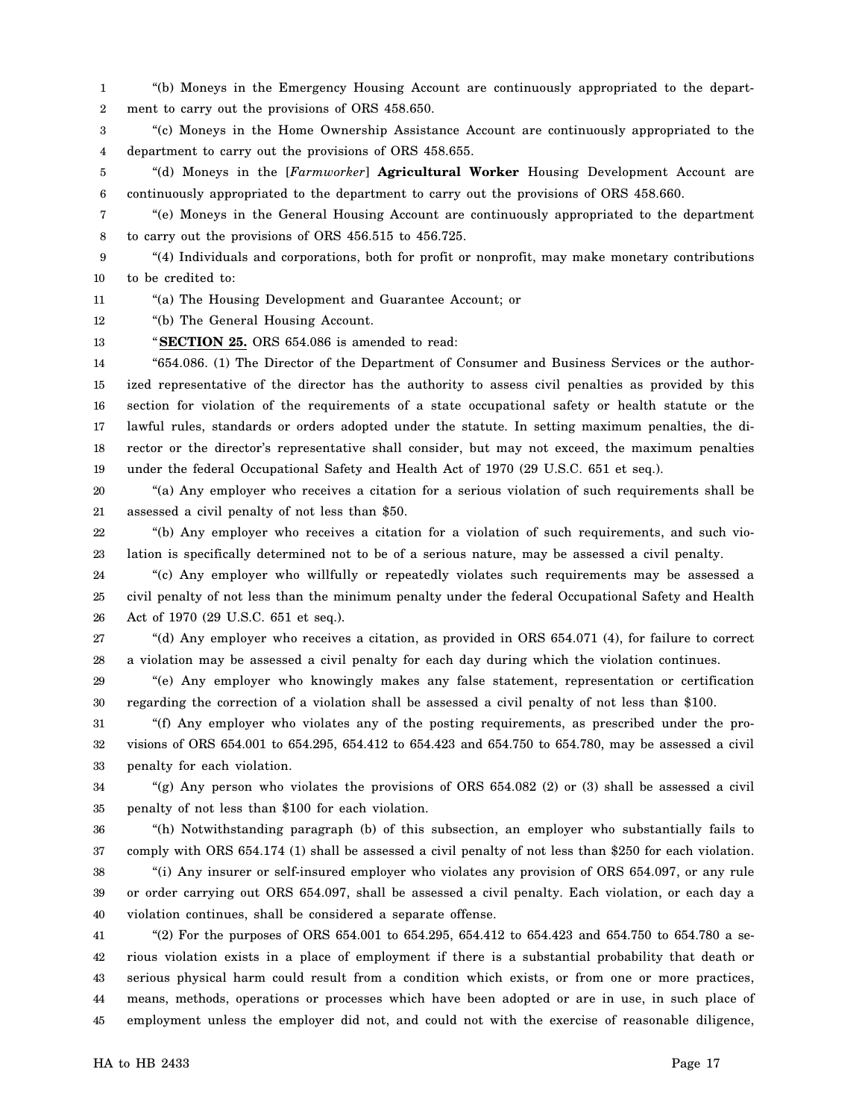1 2 "(b) Moneys in the Emergency Housing Account are continuously appropriated to the department to carry out the provisions of ORS 458.650.

3 4 "(c) Moneys in the Home Ownership Assistance Account are continuously appropriated to the department to carry out the provisions of ORS 458.655.

5 6 "(d) Moneys in the [*Farmworker*] **Agricultural Worker** Housing Development Account are continuously appropriated to the department to carry out the provisions of ORS 458.660.

7 8 "(e) Moneys in the General Housing Account are continuously appropriated to the department to carry out the provisions of ORS 456.515 to 456.725.

9 10 "(4) Individuals and corporations, both for profit or nonprofit, may make monetary contributions to be credited to:

11 "(a) The Housing Development and Guarantee Account; or

12 "(b) The General Housing Account.

13 "**SECTION 25.** ORS 654.086 is amended to read:

14 15 16 17 18 19 "654.086. (1) The Director of the Department of Consumer and Business Services or the authorized representative of the director has the authority to assess civil penalties as provided by this section for violation of the requirements of a state occupational safety or health statute or the lawful rules, standards or orders adopted under the statute. In setting maximum penalties, the director or the director's representative shall consider, but may not exceed, the maximum penalties under the federal Occupational Safety and Health Act of 1970 (29 U.S.C. 651 et seq.).

20 21 "(a) Any employer who receives a citation for a serious violation of such requirements shall be assessed a civil penalty of not less than \$50.

22 23 "(b) Any employer who receives a citation for a violation of such requirements, and such violation is specifically determined not to be of a serious nature, may be assessed a civil penalty.

24 25 26 "(c) Any employer who willfully or repeatedly violates such requirements may be assessed a civil penalty of not less than the minimum penalty under the federal Occupational Safety and Health Act of 1970 (29 U.S.C. 651 et seq.).

27 28 "(d) Any employer who receives a citation, as provided in ORS 654.071 (4), for failure to correct a violation may be assessed a civil penalty for each day during which the violation continues.

29 30 "(e) Any employer who knowingly makes any false statement, representation or certification regarding the correction of a violation shall be assessed a civil penalty of not less than \$100.

31 32 33 "(f) Any employer who violates any of the posting requirements, as prescribed under the provisions of ORS 654.001 to 654.295, 654.412 to 654.423 and 654.750 to 654.780, may be assessed a civil penalty for each violation.

34 35 "(g) Any person who violates the provisions of ORS  $654.082$  (2) or (3) shall be assessed a civil penalty of not less than \$100 for each violation.

36 37 "(h) Notwithstanding paragraph (b) of this subsection, an employer who substantially fails to comply with ORS 654.174 (1) shall be assessed a civil penalty of not less than \$250 for each violation.

38 39 40 "(i) Any insurer or self-insured employer who violates any provision of ORS 654.097, or any rule or order carrying out ORS 654.097, shall be assessed a civil penalty. Each violation, or each day a violation continues, shall be considered a separate offense.

41 42 43 44 45 "(2) For the purposes of ORS  $654.001$  to  $654.295$ ,  $654.412$  to  $654.423$  and  $654.750$  to  $654.780$  a serious violation exists in a place of employment if there is a substantial probability that death or serious physical harm could result from a condition which exists, or from one or more practices, means, methods, operations or processes which have been adopted or are in use, in such place of employment unless the employer did not, and could not with the exercise of reasonable diligence,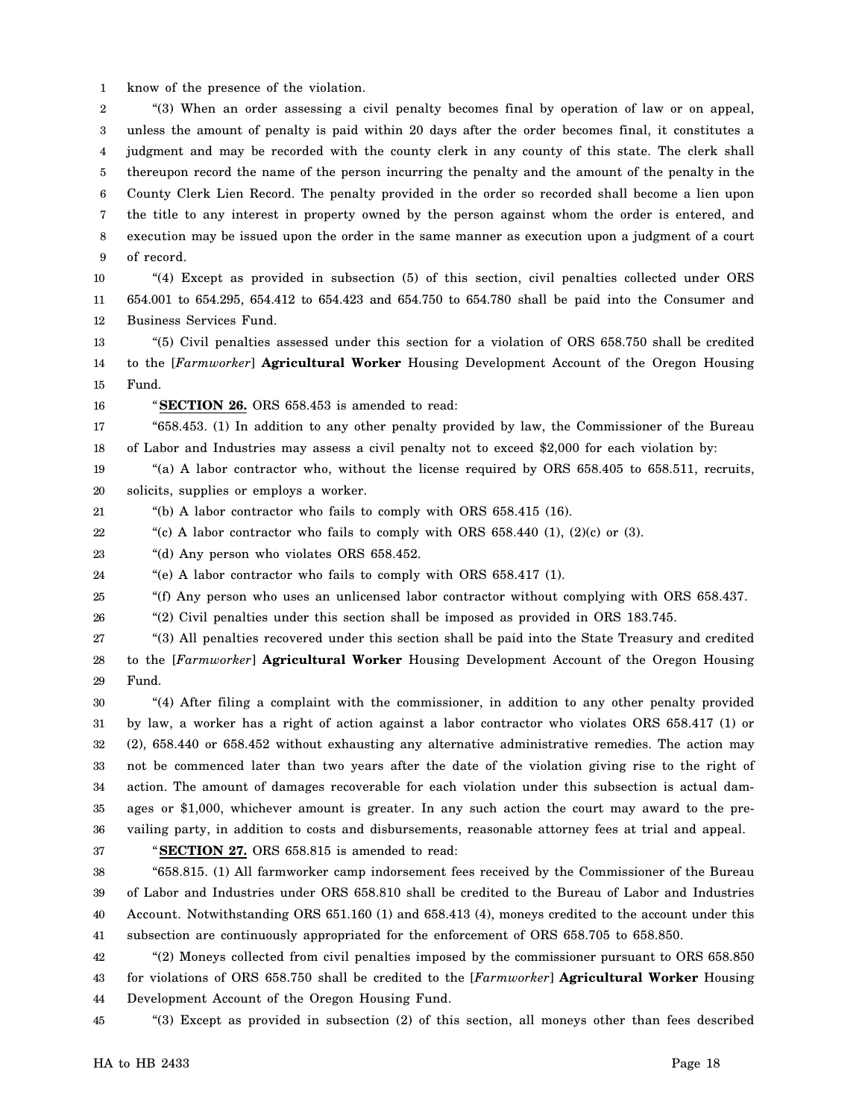1 know of the presence of the violation.

2 3 4 5 6 7 8 9 "(3) When an order assessing a civil penalty becomes final by operation of law or on appeal, unless the amount of penalty is paid within 20 days after the order becomes final, it constitutes a judgment and may be recorded with the county clerk in any county of this state. The clerk shall thereupon record the name of the person incurring the penalty and the amount of the penalty in the County Clerk Lien Record. The penalty provided in the order so recorded shall become a lien upon the title to any interest in property owned by the person against whom the order is entered, and execution may be issued upon the order in the same manner as execution upon a judgment of a court of record.

10 11 12 "(4) Except as provided in subsection (5) of this section, civil penalties collected under ORS 654.001 to 654.295, 654.412 to 654.423 and 654.750 to 654.780 shall be paid into the Consumer and Business Services Fund.

13 14 15 "(5) Civil penalties assessed under this section for a violation of ORS 658.750 shall be credited to the [*Farmworker*] **Agricultural Worker** Housing Development Account of the Oregon Housing Fund.

16

"**SECTION 26.** ORS 658.453 is amended to read:

17 18 "658.453. (1) In addition to any other penalty provided by law, the Commissioner of the Bureau of Labor and Industries may assess a civil penalty not to exceed \$2,000 for each violation by:

19 20 "(a) A labor contractor who, without the license required by ORS 658.405 to 658.511, recruits, solicits, supplies or employs a worker.

21 "(b) A labor contractor who fails to comply with ORS 658.415 (16).

22 "(c) A labor contractor who fails to comply with ORS 658.440 (1), (2)(c) or (3).

23 "(d) Any person who violates ORS 658.452.

24 "(e) A labor contractor who fails to comply with ORS 658.417 (1).

25 "(f) Any person who uses an unlicensed labor contractor without complying with ORS 658.437.

26 "(2) Civil penalties under this section shall be imposed as provided in ORS 183.745.

27 28 29 "(3) All penalties recovered under this section shall be paid into the State Treasury and credited to the [*Farmworker*] **Agricultural Worker** Housing Development Account of the Oregon Housing Fund.

30 31 32 33 34 35 36 "(4) After filing a complaint with the commissioner, in addition to any other penalty provided by law, a worker has a right of action against a labor contractor who violates ORS 658.417 (1) or (2), 658.440 or 658.452 without exhausting any alternative administrative remedies. The action may not be commenced later than two years after the date of the violation giving rise to the right of action. The amount of damages recoverable for each violation under this subsection is actual damages or \$1,000, whichever amount is greater. In any such action the court may award to the prevailing party, in addition to costs and disbursements, reasonable attorney fees at trial and appeal.

37

"**SECTION 27.** ORS 658.815 is amended to read:

38 39 40 41 "658.815. (1) All farmworker camp indorsement fees received by the Commissioner of the Bureau of Labor and Industries under ORS 658.810 shall be credited to the Bureau of Labor and Industries Account. Notwithstanding ORS 651.160 (1) and 658.413 (4), moneys credited to the account under this subsection are continuously appropriated for the enforcement of ORS 658.705 to 658.850.

42 43 44 "(2) Moneys collected from civil penalties imposed by the commissioner pursuant to ORS 658.850 for violations of ORS 658.750 shall be credited to the [*Farmworker*] **Agricultural Worker** Housing Development Account of the Oregon Housing Fund.

45 "(3) Except as provided in subsection (2) of this section, all moneys other than fees described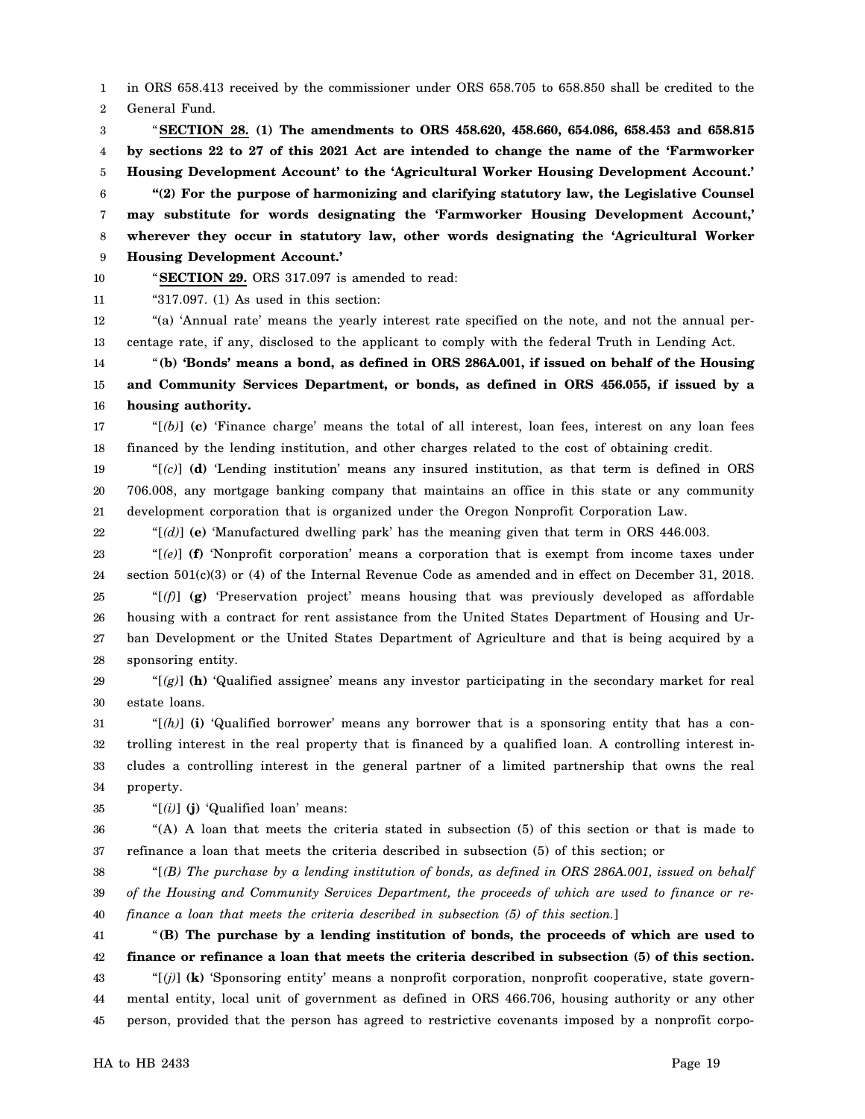1 in ORS 658.413 received by the commissioner under ORS 658.705 to 658.850 shall be credited to the

2 General Fund.

3 4 5 6 7 8 9 "**SECTION 28. (1) The amendments to ORS 458.620, 458.660, 654.086, 658.453 and 658.815 by sections 22 to 27 of this 2021 Act are intended to change the name of the 'Farmworker Housing Development Account' to the 'Agricultural Worker Housing Development Account.' "(2) For the purpose of harmonizing and clarifying statutory law, the Legislative Counsel may substitute for words designating the 'Farmworker Housing Development Account,' wherever they occur in statutory law, other words designating the 'Agricultural Worker Housing Development Account.'**

10 11

"**SECTION 29.** ORS 317.097 is amended to read: "317.097. (1) As used in this section:

12 13 "(a) 'Annual rate' means the yearly interest rate specified on the note, and not the annual percentage rate, if any, disclosed to the applicant to comply with the federal Truth in Lending Act.

14 15 16 "**(b) 'Bonds' means a bond, as defined in ORS 286A.001, if issued on behalf of the Housing and Community Services Department, or bonds, as defined in ORS 456.055, if issued by a housing authority.**

17 18 " $[$ (b) $]$  (c) 'Finance charge' means the total of all interest, loan fees, interest on any loan fees financed by the lending institution, and other charges related to the cost of obtaining credit.

19 20 21 "[*(c)*] **(d)** 'Lending institution' means any insured institution, as that term is defined in ORS 706.008, any mortgage banking company that maintains an office in this state or any community development corporation that is organized under the Oregon Nonprofit Corporation Law.

22 "[*(d)*] **(e)** 'Manufactured dwelling park' has the meaning given that term in ORS 446.003.

23 24 25 26 27 28 "[*(e)*] **(f)** 'Nonprofit corporation' means a corporation that is exempt from income taxes under section 501(c)(3) or (4) of the Internal Revenue Code as amended and in effect on December 31, 2018. "[*(f)*] **(g)** 'Preservation project' means housing that was previously developed as affordable housing with a contract for rent assistance from the United States Department of Housing and Urban Development or the United States Department of Agriculture and that is being acquired by a sponsoring entity.

29 30 " $(g)$ ] (h) 'Qualified assignee' means any investor participating in the secondary market for real estate loans.

31 32 33 34 " $[(h)]$  (i) 'Qualified borrower' means any borrower that is a sponsoring entity that has a controlling interest in the real property that is financed by a qualified loan. A controlling interest includes a controlling interest in the general partner of a limited partnership that owns the real property.

35 "[*(i)*] **(j)** 'Qualified loan' means:

36 37 "(A) A loan that meets the criteria stated in subsection (5) of this section or that is made to refinance a loan that meets the criteria described in subsection (5) of this section; or

38 39 40 "[*(B) The purchase by a lending institution of bonds, as defined in ORS 286A.001, issued on behalf of the Housing and Community Services Department, the proceeds of which are used to finance or refinance a loan that meets the criteria described in subsection (5) of this section.*]

41 42 43 44 45 "**(B) The purchase by a lending institution of bonds, the proceeds of which are used to finance or refinance a loan that meets the criteria described in subsection (5) of this section.** "[*(j)*] **(k)** 'Sponsoring entity' means a nonprofit corporation, nonprofit cooperative, state governmental entity, local unit of government as defined in ORS 466.706, housing authority or any other person, provided that the person has agreed to restrictive covenants imposed by a nonprofit corpo-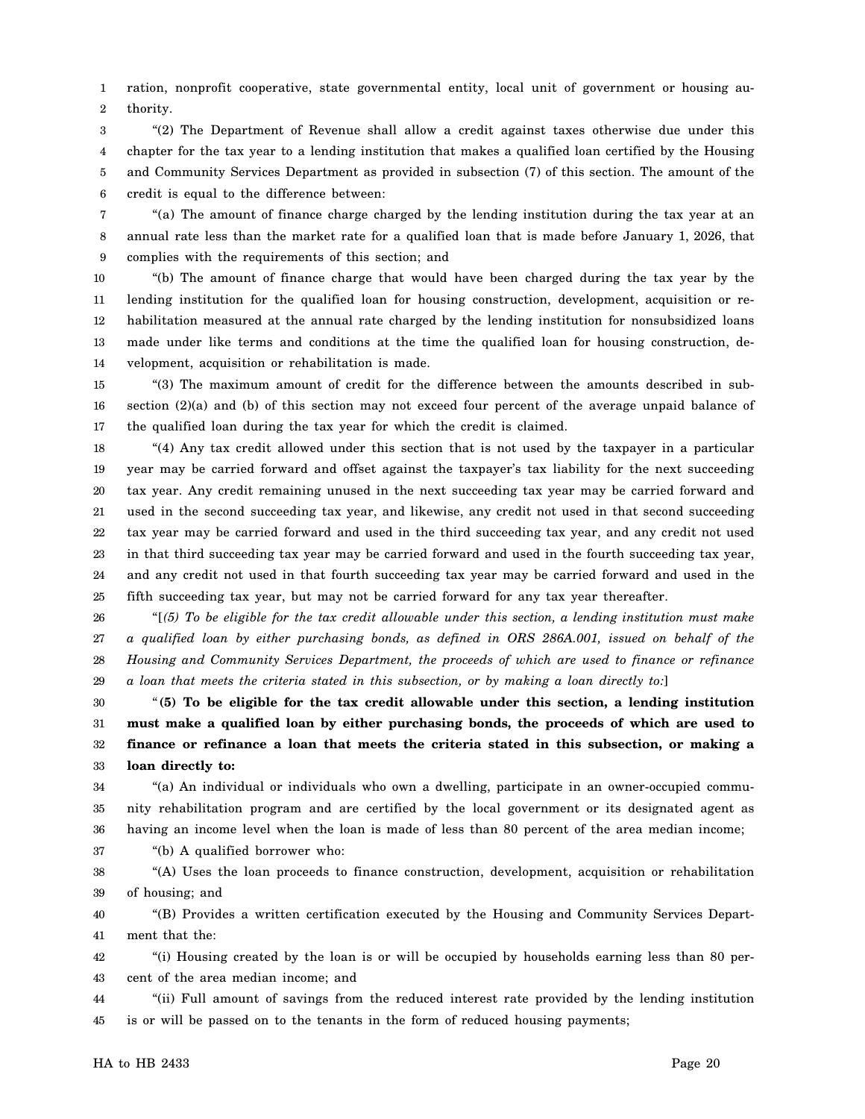1 2 ration, nonprofit cooperative, state governmental entity, local unit of government or housing authority.

3 4 5 6 "(2) The Department of Revenue shall allow a credit against taxes otherwise due under this chapter for the tax year to a lending institution that makes a qualified loan certified by the Housing and Community Services Department as provided in subsection (7) of this section. The amount of the credit is equal to the difference between:

7 8 9 "(a) The amount of finance charge charged by the lending institution during the tax year at an annual rate less than the market rate for a qualified loan that is made before January 1, 2026, that complies with the requirements of this section; and

10 11 12 13 14 "(b) The amount of finance charge that would have been charged during the tax year by the lending institution for the qualified loan for housing construction, development, acquisition or rehabilitation measured at the annual rate charged by the lending institution for nonsubsidized loans made under like terms and conditions at the time the qualified loan for housing construction, development, acquisition or rehabilitation is made.

15 16 17 "(3) The maximum amount of credit for the difference between the amounts described in subsection  $(2)(a)$  and (b) of this section may not exceed four percent of the average unpaid balance of the qualified loan during the tax year for which the credit is claimed.

18 19 20 21 22 23 24 25 "(4) Any tax credit allowed under this section that is not used by the taxpayer in a particular year may be carried forward and offset against the taxpayer's tax liability for the next succeeding tax year. Any credit remaining unused in the next succeeding tax year may be carried forward and used in the second succeeding tax year, and likewise, any credit not used in that second succeeding tax year may be carried forward and used in the third succeeding tax year, and any credit not used in that third succeeding tax year may be carried forward and used in the fourth succeeding tax year, and any credit not used in that fourth succeeding tax year may be carried forward and used in the fifth succeeding tax year, but may not be carried forward for any tax year thereafter.

26 27 28 29 "[*(5) To be eligible for the tax credit allowable under this section, a lending institution must make a qualified loan by either purchasing bonds, as defined in ORS 286A.001, issued on behalf of the Housing and Community Services Department, the proceeds of which are used to finance or refinance a loan that meets the criteria stated in this subsection, or by making a loan directly to:*]

30 31 32 33 "**(5) To be eligible for the tax credit allowable under this section, a lending institution must make a qualified loan by either purchasing bonds, the proceeds of which are used to finance or refinance a loan that meets the criteria stated in this subsection, or making a loan directly to:**

34 35 36 "(a) An individual or individuals who own a dwelling, participate in an owner-occupied community rehabilitation program and are certified by the local government or its designated agent as having an income level when the loan is made of less than 80 percent of the area median income;

37 "(b) A qualified borrower who:

38 39 "(A) Uses the loan proceeds to finance construction, development, acquisition or rehabilitation of housing; and

40 41 "(B) Provides a written certification executed by the Housing and Community Services Department that the:

42 43 "(i) Housing created by the loan is or will be occupied by households earning less than 80 percent of the area median income; and

44 45 "(ii) Full amount of savings from the reduced interest rate provided by the lending institution is or will be passed on to the tenants in the form of reduced housing payments;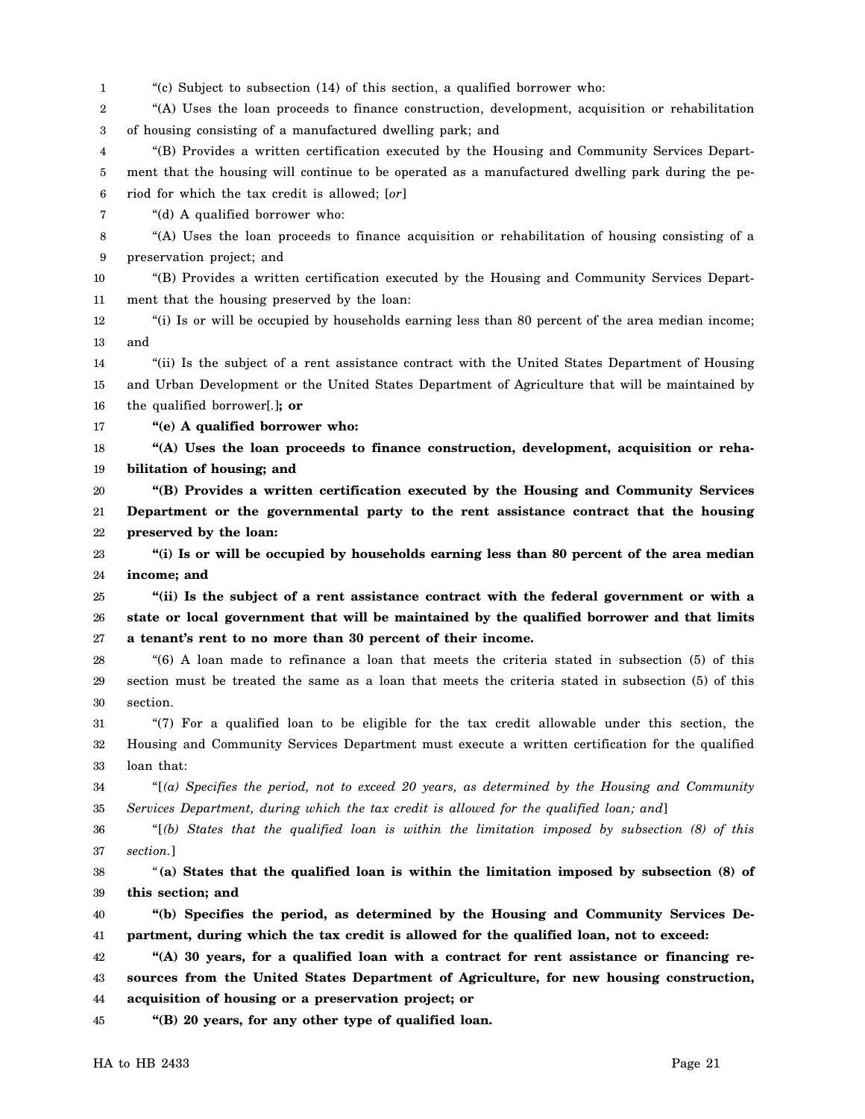1 2 3 4 5 6 7 8 9 10 11 12 13 14 15 16 17 18 19 20 21 22 23 24 25 26 27 28 29 30 31 32 33 34 35 36 37 38 39 40 41 42 43 44 45 "(c) Subject to subsection (14) of this section, a qualified borrower who: "(A) Uses the loan proceeds to finance construction, development, acquisition or rehabilitation of housing consisting of a manufactured dwelling park; and "(B) Provides a written certification executed by the Housing and Community Services Department that the housing will continue to be operated as a manufactured dwelling park during the period for which the tax credit is allowed; [*or*] "(d) A qualified borrower who: "(A) Uses the loan proceeds to finance acquisition or rehabilitation of housing consisting of a preservation project; and "(B) Provides a written certification executed by the Housing and Community Services Department that the housing preserved by the loan: "(i) Is or will be occupied by households earning less than 80 percent of the area median income; and "(ii) Is the subject of a rent assistance contract with the United States Department of Housing and Urban Development or the United States Department of Agriculture that will be maintained by the qualified borrower[*.*]**; or "(e) A qualified borrower who: "(A) Uses the loan proceeds to finance construction, development, acquisition or rehabilitation of housing; and "(B) Provides a written certification executed by the Housing and Community Services Department or the governmental party to the rent assistance contract that the housing preserved by the loan: "(i) Is or will be occupied by households earning less than 80 percent of the area median income; and "(ii) Is the subject of a rent assistance contract with the federal government or with a state or local government that will be maintained by the qualified borrower and that limits a tenant's rent to no more than 30 percent of their income.** "(6) A loan made to refinance a loan that meets the criteria stated in subsection (5) of this section must be treated the same as a loan that meets the criteria stated in subsection (5) of this section. "(7) For a qualified loan to be eligible for the tax credit allowable under this section, the Housing and Community Services Department must execute a written certification for the qualified loan that: "[*(a) Specifies the period, not to exceed 20 years, as determined by the Housing and Community Services Department, during which the tax credit is allowed for the qualified loan; and*] "[*(b) States that the qualified loan is within the limitation imposed by subsection (8) of this section.*] "**(a) States that the qualified loan is within the limitation imposed by subsection (8) of this section; and "(b) Specifies the period, as determined by the Housing and Community Services Department, during which the tax credit is allowed for the qualified loan, not to exceed: "(A) 30 years, for a qualified loan with a contract for rent assistance or financing resources from the United States Department of Agriculture, for new housing construction, acquisition of housing or a preservation project; or "(B) 20 years, for any other type of qualified loan.**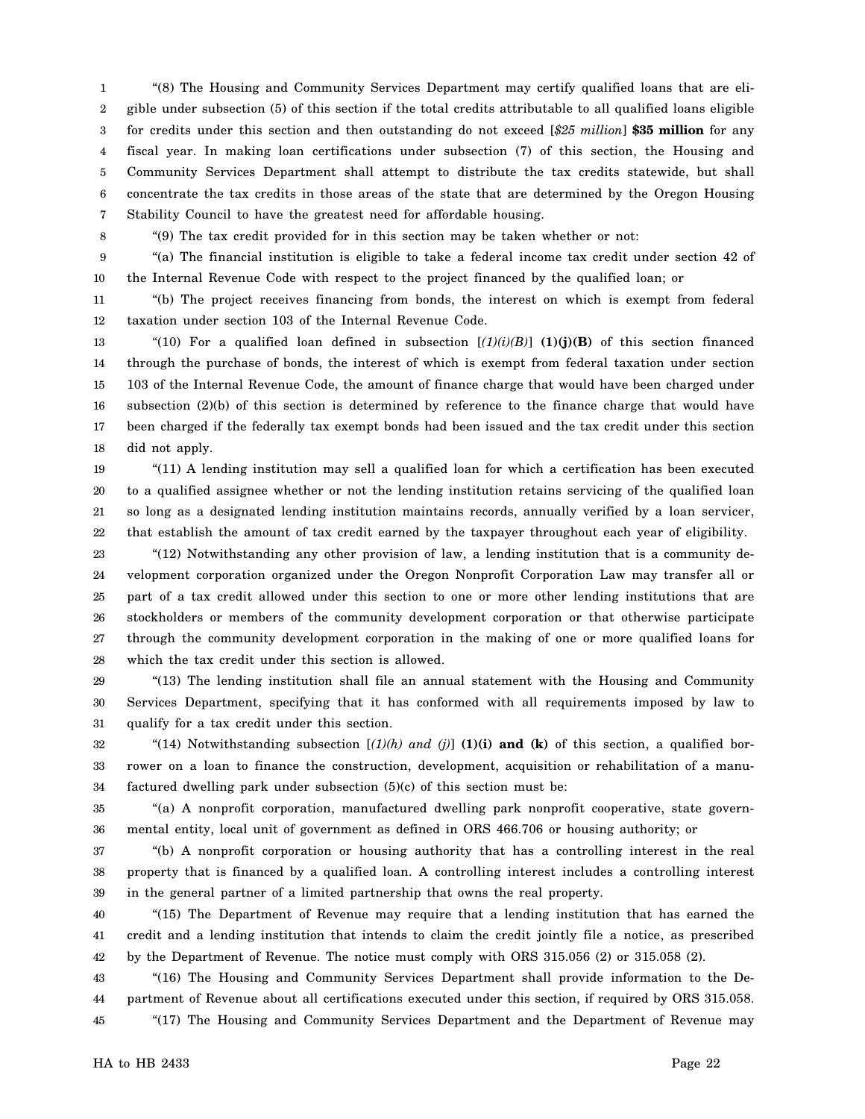1 2 3 4 5 6 7 "(8) The Housing and Community Services Department may certify qualified loans that are eligible under subsection (5) of this section if the total credits attributable to all qualified loans eligible for credits under this section and then outstanding do not exceed [*\$25 million*] **\$35 million** for any fiscal year. In making loan certifications under subsection (7) of this section, the Housing and Community Services Department shall attempt to distribute the tax credits statewide, but shall concentrate the tax credits in those areas of the state that are determined by the Oregon Housing Stability Council to have the greatest need for affordable housing.

8

"(9) The tax credit provided for in this section may be taken whether or not:

9 10 "(a) The financial institution is eligible to take a federal income tax credit under section 42 of the Internal Revenue Code with respect to the project financed by the qualified loan; or

11 12 "(b) The project receives financing from bonds, the interest on which is exempt from federal taxation under section 103 of the Internal Revenue Code.

13 14 15 16 17 18 "(10) For a qualified loan defined in subsection  $[(1)(i)(B)]$  (1)(j)(B) of this section financed through the purchase of bonds, the interest of which is exempt from federal taxation under section 103 of the Internal Revenue Code, the amount of finance charge that would have been charged under subsection (2)(b) of this section is determined by reference to the finance charge that would have been charged if the federally tax exempt bonds had been issued and the tax credit under this section did not apply.

19 20 21 22 "(11) A lending institution may sell a qualified loan for which a certification has been executed to a qualified assignee whether or not the lending institution retains servicing of the qualified loan so long as a designated lending institution maintains records, annually verified by a loan servicer, that establish the amount of tax credit earned by the taxpayer throughout each year of eligibility.

23 24 25 26 27 28 "(12) Notwithstanding any other provision of law, a lending institution that is a community development corporation organized under the Oregon Nonprofit Corporation Law may transfer all or part of a tax credit allowed under this section to one or more other lending institutions that are stockholders or members of the community development corporation or that otherwise participate through the community development corporation in the making of one or more qualified loans for which the tax credit under this section is allowed.

29 30 31 "(13) The lending institution shall file an annual statement with the Housing and Community Services Department, specifying that it has conformed with all requirements imposed by law to qualify for a tax credit under this section.

32 33 34 "(14) Notwithstanding subsection  $[(1)(h)$  and  $(j)]$  (1)(i) and (k) of this section, a qualified borrower on a loan to finance the construction, development, acquisition or rehabilitation of a manufactured dwelling park under subsection (5)(c) of this section must be:

35 36 "(a) A nonprofit corporation, manufactured dwelling park nonprofit cooperative, state governmental entity, local unit of government as defined in ORS 466.706 or housing authority; or

37 38 39 "(b) A nonprofit corporation or housing authority that has a controlling interest in the real property that is financed by a qualified loan. A controlling interest includes a controlling interest in the general partner of a limited partnership that owns the real property.

40 41 42 "(15) The Department of Revenue may require that a lending institution that has earned the credit and a lending institution that intends to claim the credit jointly file a notice, as prescribed by the Department of Revenue. The notice must comply with ORS 315.056 (2) or 315.058 (2).

43 44 45 "(16) The Housing and Community Services Department shall provide information to the Department of Revenue about all certifications executed under this section, if required by ORS 315.058. "(17) The Housing and Community Services Department and the Department of Revenue may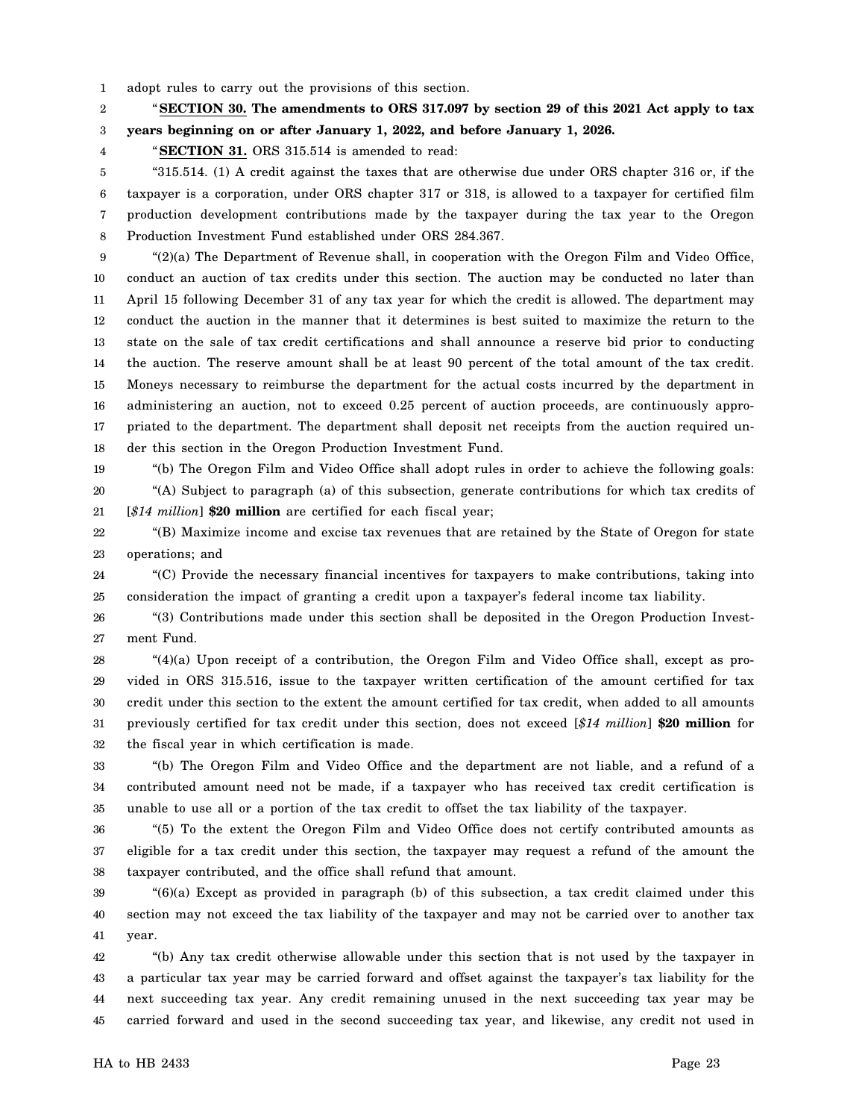1 adopt rules to carry out the provisions of this section.

2 3 "**SECTION 30. The amendments to ORS 317.097 by section 29 of this 2021 Act apply to tax years beginning on or after January 1, 2022, and before January 1, 2026.**

"**SECTION 31.** ORS 315.514 is amended to read:

4

19

5 6 7 8 "315.514. (1) A credit against the taxes that are otherwise due under ORS chapter 316 or, if the taxpayer is a corporation, under ORS chapter 317 or 318, is allowed to a taxpayer for certified film production development contributions made by the taxpayer during the tax year to the Oregon Production Investment Fund established under ORS 284.367.

9 10 11 12 13 14 15 16 17 18 "(2)(a) The Department of Revenue shall, in cooperation with the Oregon Film and Video Office, conduct an auction of tax credits under this section. The auction may be conducted no later than April 15 following December 31 of any tax year for which the credit is allowed. The department may conduct the auction in the manner that it determines is best suited to maximize the return to the state on the sale of tax credit certifications and shall announce a reserve bid prior to conducting the auction. The reserve amount shall be at least 90 percent of the total amount of the tax credit. Moneys necessary to reimburse the department for the actual costs incurred by the department in administering an auction, not to exceed 0.25 percent of auction proceeds, are continuously appropriated to the department. The department shall deposit net receipts from the auction required under this section in the Oregon Production Investment Fund.

"(b) The Oregon Film and Video Office shall adopt rules in order to achieve the following goals:

20 21 "(A) Subject to paragraph (a) of this subsection, generate contributions for which tax credits of [*\$14 million*] **\$20 million** are certified for each fiscal year;

22 23 "(B) Maximize income and excise tax revenues that are retained by the State of Oregon for state operations; and

24 25 "(C) Provide the necessary financial incentives for taxpayers to make contributions, taking into consideration the impact of granting a credit upon a taxpayer's federal income tax liability.

26 27 "(3) Contributions made under this section shall be deposited in the Oregon Production Investment Fund.

28 29 30 31 32 "(4)(a) Upon receipt of a contribution, the Oregon Film and Video Office shall, except as provided in ORS 315.516, issue to the taxpayer written certification of the amount certified for tax credit under this section to the extent the amount certified for tax credit, when added to all amounts previously certified for tax credit under this section, does not exceed [*\$14 million*] **\$20 million** for the fiscal year in which certification is made.

33 34 35 "(b) The Oregon Film and Video Office and the department are not liable, and a refund of a contributed amount need not be made, if a taxpayer who has received tax credit certification is unable to use all or a portion of the tax credit to offset the tax liability of the taxpayer.

36 37 38 "(5) To the extent the Oregon Film and Video Office does not certify contributed amounts as eligible for a tax credit under this section, the taxpayer may request a refund of the amount the taxpayer contributed, and the office shall refund that amount.

39 40 41 "(6)(a) Except as provided in paragraph (b) of this subsection, a tax credit claimed under this section may not exceed the tax liability of the taxpayer and may not be carried over to another tax year.

42 43 44 45 "(b) Any tax credit otherwise allowable under this section that is not used by the taxpayer in a particular tax year may be carried forward and offset against the taxpayer's tax liability for the next succeeding tax year. Any credit remaining unused in the next succeeding tax year may be carried forward and used in the second succeeding tax year, and likewise, any credit not used in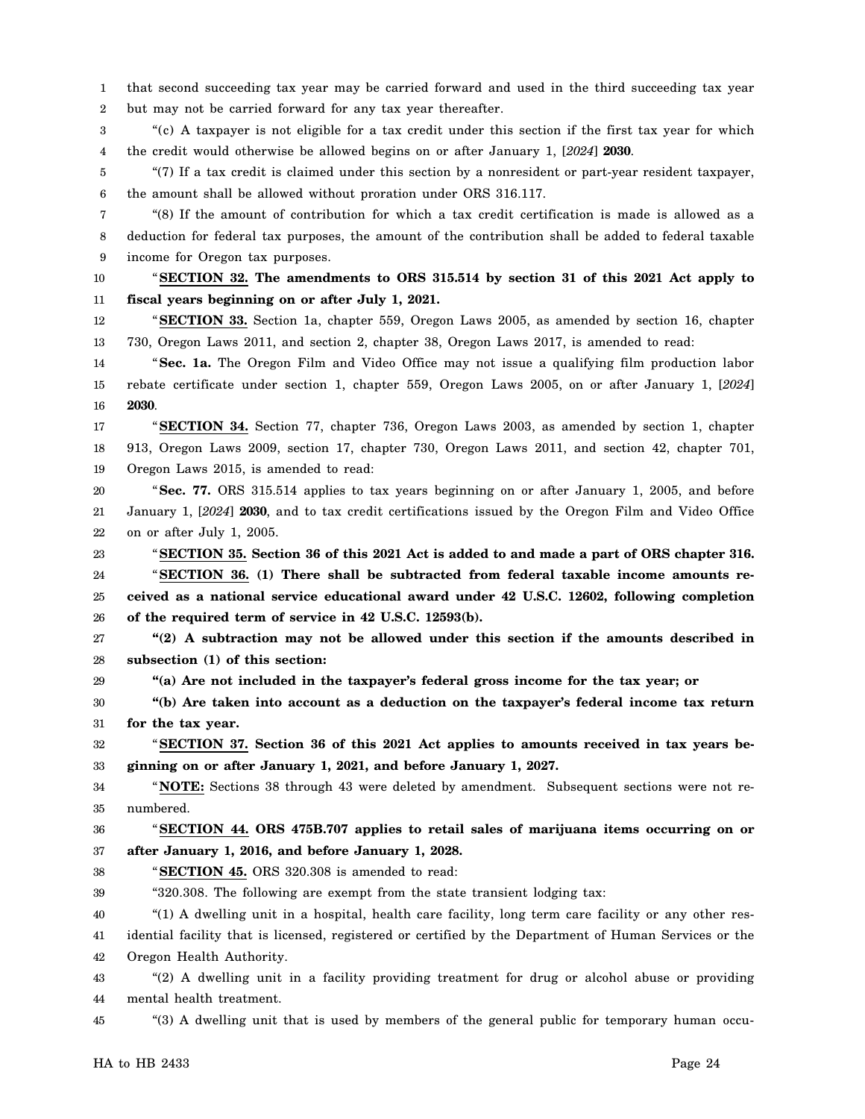1 2 that second succeeding tax year may be carried forward and used in the third succeeding tax year but may not be carried forward for any tax year thereafter.

3 4 "(c) A taxpayer is not eligible for a tax credit under this section if the first tax year for which the credit would otherwise be allowed begins on or after January 1, [*2024*] **2030**.

5 6 "(7) If a tax credit is claimed under this section by a nonresident or part-year resident taxpayer, the amount shall be allowed without proration under ORS 316.117.

7 8 9 "(8) If the amount of contribution for which a tax credit certification is made is allowed as a deduction for federal tax purposes, the amount of the contribution shall be added to federal taxable income for Oregon tax purposes.

10 11 "**SECTION 32. The amendments to ORS 315.514 by section 31 of this 2021 Act apply to fiscal years beginning on or after July 1, 2021.**

12 13 "**SECTION 33.** Section 1a, chapter 559, Oregon Laws 2005, as amended by section 16, chapter 730, Oregon Laws 2011, and section 2, chapter 38, Oregon Laws 2017, is amended to read:

14 15 16 "**Sec. 1a.** The Oregon Film and Video Office may not issue a qualifying film production labor rebate certificate under section 1, chapter 559, Oregon Laws 2005, on or after January 1, [*2024*] **2030**.

17 18 19 "**SECTION 34.** Section 77, chapter 736, Oregon Laws 2003, as amended by section 1, chapter 913, Oregon Laws 2009, section 17, chapter 730, Oregon Laws 2011, and section 42, chapter 701, Oregon Laws 2015, is amended to read:

20 21 22 "**Sec. 77.** ORS 315.514 applies to tax years beginning on or after January 1, 2005, and before January 1, [*2024*] **2030**, and to tax credit certifications issued by the Oregon Film and Video Office on or after July 1, 2005.

23 24 25 26 "**SECTION 35. Section 36 of this 2021 Act is added to and made a part of ORS chapter 316.** "**SECTION 36. (1) There shall be subtracted from federal taxable income amounts received as a national service educational award under 42 U.S.C. 12602, following completion of the required term of service in 42 U.S.C. 12593(b).**

27 28 **"(2) A subtraction may not be allowed under this section if the amounts described in subsection (1) of this section:**

29 **"(a) Are not included in the taxpayer's federal gross income for the tax year; or**

30 31 **"(b) Are taken into account as a deduction on the taxpayer's federal income tax return for the tax year.**

32 33 "**SECTION 37. Section 36 of this 2021 Act applies to amounts received in tax years beginning on or after January 1, 2021, and before January 1, 2027.**

34 35 " **NOTE:** Sections 38 through 43 were deleted by amendment. Subsequent sections were not renumbered.

36 37 "**SECTION 44. ORS 475B.707 applies to retail sales of marijuana items occurring on or after January 1, 2016, and before January 1, 2028.**

38 "**SECTION 45.** ORS 320.308 is amended to read:

39 "320.308. The following are exempt from the state transient lodging tax:

40 "(1) A dwelling unit in a hospital, health care facility, long term care facility or any other res-

41 idential facility that is licensed, registered or certified by the Department of Human Services or the

42 Oregon Health Authority.

43 44 "(2) A dwelling unit in a facility providing treatment for drug or alcohol abuse or providing mental health treatment.

45 "(3) A dwelling unit that is used by members of the general public for temporary human occu-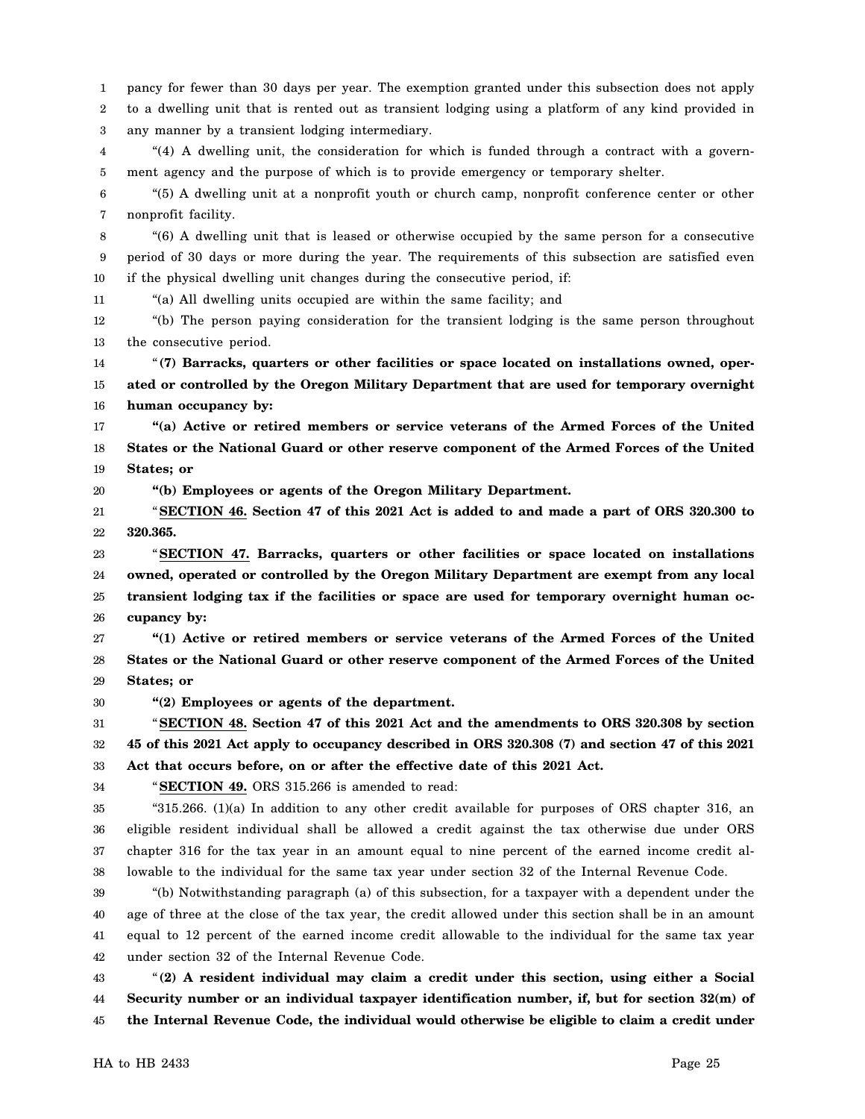1 2 3 pancy for fewer than 30 days per year. The exemption granted under this subsection does not apply to a dwelling unit that is rented out as transient lodging using a platform of any kind provided in any manner by a transient lodging intermediary.

4 5 "(4) A dwelling unit, the consideration for which is funded through a contract with a government agency and the purpose of which is to provide emergency or temporary shelter.

6 7 "(5) A dwelling unit at a nonprofit youth or church camp, nonprofit conference center or other nonprofit facility.

8 9 10 "(6) A dwelling unit that is leased or otherwise occupied by the same person for a consecutive period of 30 days or more during the year. The requirements of this subsection are satisfied even if the physical dwelling unit changes during the consecutive period, if:

"(a) All dwelling units occupied are within the same facility; and

12 13 "(b) The person paying consideration for the transient lodging is the same person throughout the consecutive period.

14 15 16 "**(7) Barracks, quarters or other facilities or space located on installations owned, operated or controlled by the Oregon Military Department that are used for temporary overnight human occupancy by:**

17 18 19 **"(a) Active or retired members or service veterans of the Armed Forces of the United States or the National Guard or other reserve component of the Armed Forces of the United States; or**

20 **"(b) Employees or agents of the Oregon Military Department.**

21 22 "**SECTION 46. Section 47 of this 2021 Act is added to and made a part of ORS 320.300 to 320.365.**

23 24 25 26 "**SECTION 47. Barracks, quarters or other facilities or space located on installations owned, operated or controlled by the Oregon Military Department are exempt from any local transient lodging tax if the facilities or space are used for temporary overnight human occupancy by:**

27 28 29 **"(1) Active or retired members or service veterans of the Armed Forces of the United States or the National Guard or other reserve component of the Armed Forces of the United States; or**

30 **"(2) Employees or agents of the department.**

31 32 33 "**SECTION 48. Section 47 of this 2021 Act and the amendments to ORS 320.308 by section 45 of this 2021 Act apply to occupancy described in ORS 320.308 (7) and section 47 of this 2021**

**Act that occurs before, on or after the effective date of this 2021 Act.**

34

11

"**SECTION 49.** ORS 315.266 is amended to read:

35 36 37 38 "315.266. (1)(a) In addition to any other credit available for purposes of ORS chapter 316, an eligible resident individual shall be allowed a credit against the tax otherwise due under ORS chapter 316 for the tax year in an amount equal to nine percent of the earned income credit allowable to the individual for the same tax year under section 32 of the Internal Revenue Code.

39 40 41 42 "(b) Notwithstanding paragraph (a) of this subsection, for a taxpayer with a dependent under the age of three at the close of the tax year, the credit allowed under this section shall be in an amount equal to 12 percent of the earned income credit allowable to the individual for the same tax year under section 32 of the Internal Revenue Code.

43 44 45 "**(2) A resident individual may claim a credit under this section, using either a Social Security number or an individual taxpayer identification number, if, but for section 32(m) of the Internal Revenue Code, the individual would otherwise be eligible to claim a credit under**